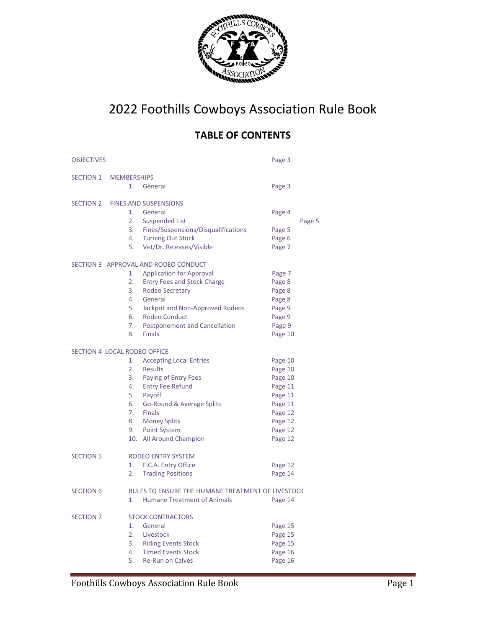

# 2022 Foothills Cowboys Association Rule Book

# **TABLE OF CONTENTS**

| <b>OBJECTIVES</b> |                                                   |                                      | Page 3  |        |
|-------------------|---------------------------------------------------|--------------------------------------|---------|--------|
| <b>SECTION 1</b>  | <b>MEMBERSHIPS</b>                                |                                      |         |        |
|                   | 1.                                                | General                              | Page 3  |        |
| SECTION 2         |                                                   | <b>FINES AND SUSPENSIONS</b>         |         |        |
|                   | 1.                                                | General                              | Page 4  |        |
|                   | 2.                                                | <b>Suspended List</b>                |         | Page 5 |
|                   | 3.                                                | Fines/Suspensions/Disqualifications  | Page 5  |        |
|                   | 4.                                                | <b>Turning Out Stock</b>             | Page 6  |        |
|                   | 5.                                                | Vet/Dr. Releases/Visible             | Page 7  |        |
|                   |                                                   | SECTION 3 APPROVAL AND RODEO CONDUCT |         |        |
|                   | 1.                                                | <b>Application for Approval</b>      | Page 7  |        |
|                   | 2.                                                | <b>Entry Fees and Stock Charge</b>   | Page 8  |        |
|                   | 3.                                                | Rodeo Secretary                      | Page 8  |        |
|                   | 4.                                                | General                              | Page 8  |        |
|                   | 5.                                                | Jackpot and Non-Approved Rodeos      | Page 9  |        |
|                   | 6.                                                | Rodeo Conduct                        | Page 9  |        |
|                   | 7.                                                | <b>Postponement and Cancellation</b> | Page 9  |        |
|                   | 8.                                                | <b>Finals</b>                        | Page 10 |        |
|                   | SECTION 4 LOCAL RODEO OFFICE                      |                                      |         |        |
|                   | 1.                                                | <b>Accepting Local Entries</b>       | Page 10 |        |
|                   | 2.                                                | Results                              | Page 10 |        |
|                   | 3.                                                | Paying of Entry Fees                 | Page 10 |        |
|                   | 4.                                                | <b>Entry Fee Refund</b>              | Page 11 |        |
|                   | 5.                                                | Payoff                               | Page 11 |        |
|                   | 6.                                                | Go-Round & Average Splits            | Page 11 |        |
|                   | 7.                                                | <b>Finals</b>                        | Page 12 |        |
|                   | 8.                                                | <b>Money Splits</b>                  | Page 12 |        |
|                   | 9.                                                | <b>Point System</b>                  | Page 12 |        |
|                   |                                                   | 10. All Around Champion              | Page 12 |        |
| <b>SECTION 5</b>  |                                                   | RODEO ENTRY SYSTEM                   |         |        |
|                   | 1.                                                | F.C.A. Entry Office                  | Page 12 |        |
|                   | 2.                                                | <b>Trading Positions</b>             | Page 14 |        |
| <b>SECTION 6</b>  | RULES TO ENSURE THE HUMANE TREATMENT OF LIVESTOCK |                                      |         |        |
|                   | 1.                                                | <b>Humane Treatment of Animals</b>   | Page 14 |        |
| <b>SECTION 7</b>  |                                                   | <b>STOCK CONTRACTORS</b>             |         |        |
|                   | 1.                                                | General                              | Page 15 |        |
|                   | 2.                                                | Livestock                            | Page 15 |        |
|                   | 3.                                                | <b>Riding Events Stock</b>           | Page 15 |        |
|                   | 4.                                                | <b>Timed Events Stock</b>            | Page 16 |        |
|                   | 5.                                                | <b>Re-Run on Calves</b>              | Page 16 |        |
|                   |                                                   |                                      |         |        |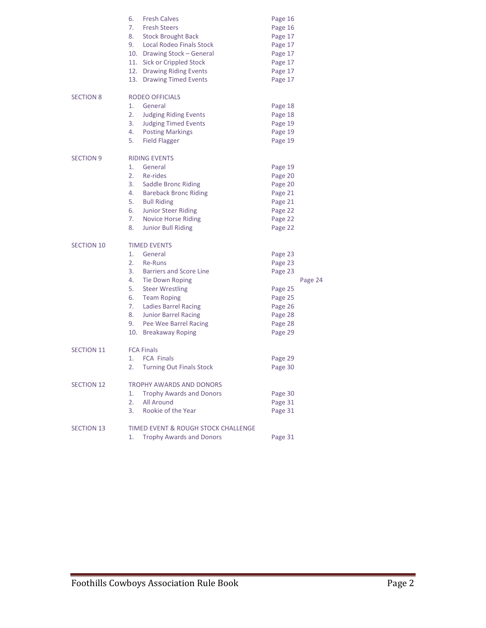|                   | 6.<br><b>Fresh Calves</b>                                     | Page 16 |         |
|-------------------|---------------------------------------------------------------|---------|---------|
|                   | 7.<br><b>Fresh Steers</b>                                     | Page 16 |         |
|                   | 8.<br><b>Stock Brought Back</b>                               | Page 17 |         |
|                   | 9. Local Rodeo Finals Stock                                   | Page 17 |         |
|                   | 10. Drawing Stock - General                                   | Page 17 |         |
|                   | 11. Sick or Crippled Stock                                    | Page 17 |         |
|                   | 12. Drawing Riding Events                                     | Page 17 |         |
|                   | 13. Drawing Timed Events                                      | Page 17 |         |
| <b>SECTION 8</b>  | RODEO OFFICIALS                                               |         |         |
|                   | 1.<br>General                                                 | Page 18 |         |
|                   | 2.<br><b>Judging Riding Events</b>                            | Page 18 |         |
|                   | 3.<br><b>Judging Timed Events</b>                             | Page 19 |         |
|                   | 4.<br><b>Posting Markings</b>                                 | Page 19 |         |
|                   | 5.<br><b>Field Flagger</b>                                    | Page 19 |         |
| <b>SECTION 9</b>  | <b>RIDING EVENTS</b>                                          |         |         |
|                   | 1.<br>General                                                 | Page 19 |         |
|                   | 2.<br>Re-rides                                                | Page 20 |         |
|                   | 3.<br>Saddle Bronc Riding                                     | Page 20 |         |
|                   | 4.<br><b>Bareback Bronc Riding</b>                            | Page 21 |         |
|                   | 5.<br><b>Bull Riding</b>                                      | Page 21 |         |
|                   | 6.<br>Junior Steer Riding                                     | Page 22 |         |
|                   | 7.                                                            | Page 22 |         |
|                   | <b>Novice Horse Riding</b><br>8.<br><b>Junior Bull Riding</b> | Page 22 |         |
| <b>SECTION 10</b> | <b>TIMED EVENTS</b>                                           |         |         |
|                   | 1.<br>General                                                 |         |         |
|                   | 2.<br>Re-Runs                                                 | Page 23 |         |
|                   |                                                               | Page 23 |         |
|                   | 3.<br><b>Barriers and Score Line</b>                          | Page 23 |         |
|                   | 4.<br>Tie Down Roping                                         |         | Page 24 |
|                   | 5.<br><b>Steer Wrestling</b>                                  | Page 25 |         |
|                   | 6.<br><b>Team Roping</b>                                      | Page 25 |         |
|                   | 7.<br><b>Ladies Barrel Racing</b>                             | Page 26 |         |
|                   | 8.<br><b>Junior Barrel Racing</b>                             | Page 28 |         |
|                   | 9.<br>Pee Wee Barrel Racing                                   | Page 28 |         |
|                   | 10. Breakaway Roping                                          | Page 29 |         |
| <b>SECTION 11</b> | <b>FCA Finals</b>                                             |         |         |
|                   | <b>FCA Finals</b><br>1.                                       | Page 29 |         |
|                   | 2.<br><b>Turning Out Finals Stock</b>                         | Page 30 |         |
| <b>SECTION 12</b> | TROPHY AWARDS AND DONORS                                      |         |         |
|                   | 1.<br><b>Trophy Awards and Donors</b>                         | Page 30 |         |
|                   | 2.<br>All Around                                              | Page 31 |         |
|                   | 3.<br>Rookie of the Year                                      | Page 31 |         |
| <b>SECTION 13</b> | <b>TIMED EVENT &amp; ROUGH STOCK CHALLENGE</b>                |         |         |
|                   | <b>Trophy Awards and Donors</b><br>1.                         | Page 31 |         |
|                   |                                                               |         |         |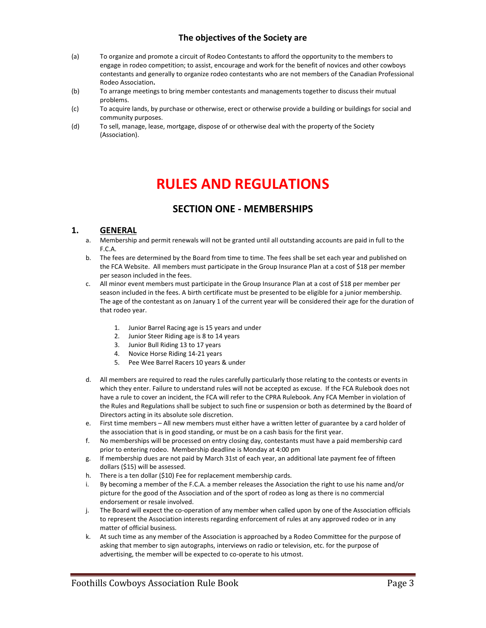## **The objectives of the Society are**

- (a) To organize and promote a circuit of Rodeo Contestants to afford the opportunity to the members to engage in rodeo competition; to assist, encourage and work for the benefit of novices and other cowboys contestants and generally to organize rodeo contestants who are not members of the Canadian Professional Rodeo Association**.**
- (b) To arrange meetings to bring member contestants and managements together to discuss their mutual problems.
- (c) To acquire lands, by purchase or otherwise, erect or otherwise provide a building or buildings for social and community purposes.
- (d) To sell, manage, lease, mortgage, dispose of or otherwise deal with the property of the Society (Association).

# **RULES AND REGULATIONS**

# **SECTION ONE - MEMBERSHIPS**

#### **1. GENERAL**

- a. Membership and permit renewals will not be granted until all outstanding accounts are paid in full to the F.C.A.
- b. The fees are determined by the Board from time to time. The fees shall be set each year and published on the FCA Website. All members must participate in the Group Insurance Plan at a cost of \$18 per member per season included in the fees.
- c. All minor event members must participate in the Group Insurance Plan at a cost of \$18 per member per season included in the fees. A birth certificate must be presented to be eligible for a junior membership. The age of the contestant as on January 1 of the current year will be considered their age for the duration of that rodeo year.
	- 1. Junior Barrel Racing age is 15 years and under
	- 2. Junior Steer Riding age is 8 to 14 years
	- 3. Junior Bull Riding 13 to 17 years
	- 4. Novice Horse Riding 14-21 years
	- 5. Pee Wee Barrel Racers 10 years & under
- d. All members are required to read the rules carefully particularly those relating to the contests or events in which they enter. Failure to understand rules will not be accepted as excuse. If the FCA Rulebook does not have a rule to cover an incident, the FCA will refer to the CPRA Rulebook. Any FCA Member in violation of the Rules and Regulations shall be subject to such fine or suspension or both as determined by the Board of Directors acting in its absolute sole discretion.
- e. First time members All new members must either have a written letter of guarantee by a card holder of the association that is in good standing, or must be on a cash basis for the first year.
- f. No memberships will be processed on entry closing day, contestants must have a paid membership card prior to entering rodeo. Membership deadline is Monday at 4:00 pm
- g. If membership dues are not paid by March 31st of each year, an additional late payment fee of fifteen dollars (\$15) will be assessed.
- h. There is a ten dollar (\$10) Fee for replacement membership cards.
- i. By becoming a member of the F.C.A. a member releases the Association the right to use his name and/or picture for the good of the Association and of the sport of rodeo as long as there is no commercial endorsement or resale involved.
- j. The Board will expect the co-operation of any member when called upon by one of the Association officials to represent the Association interests regarding enforcement of rules at any approved rodeo or in any matter of official business.
- k. At such time as any member of the Association is approached by a Rodeo Committee for the purpose of asking that member to sign autographs, interviews on radio or television, etc. for the purpose of advertising, the member will be expected to co-operate to his utmost.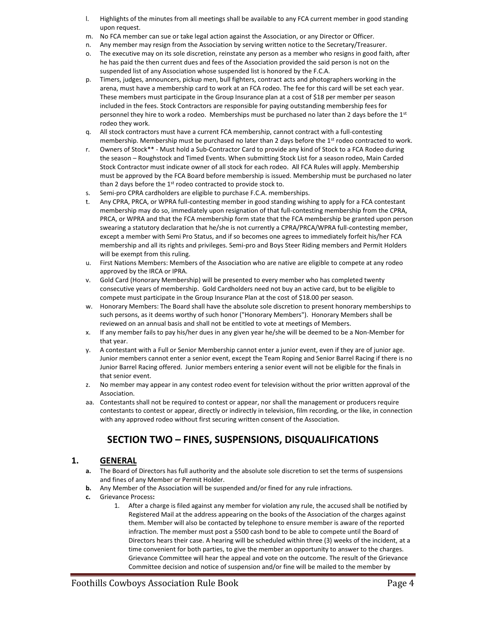- l. Highlights of the minutes from all meetings shall be available to any FCA current member in good standing upon request.
- m. No FCA member can sue or take legal action against the Association, or any Director or Officer.
- n. Any member may resign from the Association by serving written notice to the Secretary/Treasurer.
- o. The executive may on its sole discretion, reinstate any person as a member who resigns in good faith, after he has paid the then current dues and fees of the Association provided the said person is not on the suspended list of any Association whose suspended list is honored by the F.C.A.
- p. Timers, judges, announcers, pickup men, bull fighters, contract acts and photographers working in the arena, must have a membership card to work at an FCA rodeo. The fee for this card will be set each year. These members must participate in the Group Insurance plan at a cost of \$18 per member per season included in the fees. Stock Contractors are responsible for paying outstanding membership fees for personnel they hire to work a rodeo. Memberships must be purchased no later than 2 days before the 1st rodeo they work.
- q. All stock contractors must have a current FCA membership, cannot contract with a full-contesting membership. Membership must be purchased no later than 2 days before the 1<sup>st</sup> rodeo contracted to work.
- r. Owners of Stock\*\* Must hold a Sub-Contractor Card to provide any kind of Stock to a FCA Rodeo during the season – Roughstock and Timed Events. When submitting Stock List for a season rodeo, Main Carded Stock Contractor must indicate owner of all stock for each rodeo. All FCA Rules will apply. Membership must be approved by the FCA Board before membership is issued. Membership must be purchased no later than 2 days before the  $1<sup>st</sup>$  rodeo contracted to provide stock to.
- s. Semi-pro CPRA cardholders are eligible to purchase F.C.A. memberships.
- t. Any CPRA, PRCA, or WPRA full-contesting member in good standing wishing to apply for a FCA contestant membership may do so, immediately upon resignation of that full-contesting membership from the CPRA, PRCA, or WPRA and that the FCA membership form state that the FCA membership be granted upon person swearing a statutory declaration that he/she is not currently a CPRA/PRCA/WPRA full-contesting member, except a member with Semi Pro Status, and if so becomes one agrees to immediately forfeit his/her FCA membership and all its rights and privileges. Semi-pro and Boys Steer Riding members and Permit Holders will be exempt from this ruling.
- u. First Nations Members: Members of the Association who are native are eligible to compete at any rodeo approved by the IRCA or IPRA.
- v. Gold Card (Honorary Membership) will be presented to every member who has completed twenty consecutive years of membership. Gold Cardholders need not buy an active card, but to be eligible to compete must participate in the Group Insurance Plan at the cost of \$18.00 per season.
- w. Honorary Members: The Board shall have the absolute sole discretion to present honorary memberships to such persons, as it deems worthy of such honor ("Honorary Members"). Honorary Members shall be reviewed on an annual basis and shall not be entitled to vote at meetings of Members.
- x. If any member fails to pay his/her dues in any given year he/she will be deemed to be a Non-Member for that year.
- y. A contestant with a Full or Senior Membership cannot enter a junior event, even if they are of junior age. Junior members cannot enter a senior event, except the Team Roping and Senior Barrel Racing if there is no Junior Barrel Racing offered. Junior members entering a senior event will not be eligible for the finals in that senior event.
- z. No member may appear in any contest rodeo event for television without the prior written approval of the Association.
- aa. Contestants shall not be required to contest or appear, nor shall the management or producers require contestants to contest or appear, directly or indirectly in television, film recording, or the like, in connection with any approved rodeo without first securing written consent of the Association.

# **SECTION TWO – FINES, SUSPENSIONS, DISQUALIFICATIONS**

#### **1. GENERAL**

- **a.** The Board of Directors has full authority and the absolute sole discretion to set the terms of suspensions and fines of any Member or Permit Holder.
- **b.** Any Member of the Association will be suspended and/or fined for any rule infractions.
- **c.** Grievance Process**:** 
	- 1. After a charge is filed against any member for violation any rule, the accused shall be notified by Registered Mail at the address appearing on the books of the Association of the charges against them. Member will also be contacted by telephone to ensure member is aware of the reported infraction. The member must post a \$500 cash bond to be able to compete until the Board of Directors hears their case. A hearing will be scheduled within three (3) weeks of the incident, at a time convenient for both parties, to give the member an opportunity to answer to the charges. Grievance Committee will hear the appeal and vote on the outcome. The result of the Grievance Committee decision and notice of suspension and/or fine will be mailed to the member by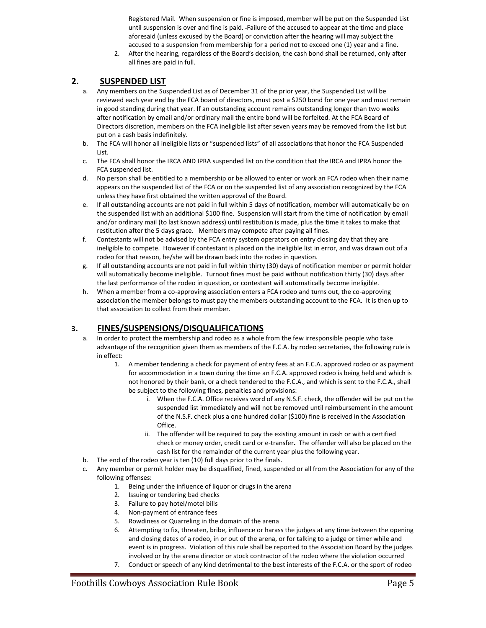Registered Mail. When suspension or fine is imposed, member will be put on the Suspended List until suspension is over and fine is paid. Failure of the accused to appear at the time and place aforesaid (unless excused by the Board) or conviction after the hearing will may subject the accused to a suspension from membership for a period not to exceed one (1) year and a fine.

2. After the hearing, regardless of the Board's decision, the cash bond shall be returned, only after all fines are paid in full.

#### **2. SUSPENDED LIST**

- a. Any members on the Suspended List as of December 31 of the prior year, the Suspended List will be reviewed each year end by the FCA board of directors, must post a \$250 bond for one year and must remain in good standing during that year. If an outstanding account remains outstanding longer than two weeks after notification by email and/or ordinary mail the entire bond will be forfeited. At the FCA Board of Directors discretion, members on the FCA ineligible list after seven years may be removed from the list but put on a cash basis indefinitely.
- b. The FCA will honor all ineligible lists or "suspended lists" of all associations that honor the FCA Suspended List.
- c. The FCA shall honor the IRCA AND IPRA suspended list on the condition that the IRCA and IPRA honor the FCA suspended list.
- d. No person shall be entitled to a membership or be allowed to enter or work an FCA rodeo when their name appears on the suspended list of the FCA or on the suspended list of any association recognized by the FCA unless they have first obtained the written approval of the Board.
- e. If all outstanding accounts are not paid in full within 5 days of notification, member will automatically be on the suspended list with an additional \$100 fine. Suspension will start from the time of notification by email and/or ordinary mail (to last known address) until restitution is made, plus the time it takes to make that restitution after the 5 days grace. Members may compete after paying all fines.
- f. Contestants will not be advised by the FCA entry system operators on entry closing day that they are ineligible to compete. However if contestant is placed on the ineligible list in error, and was drawn out of a rodeo for that reason, he/she will be drawn back into the rodeo in question.
- g. If all outstanding accounts are not paid in full within thirty (30) days of notification member or permit holder will automatically become ineligible. Turnout fines must be paid without notification thirty (30) days after the last performance of the rodeo in question, or contestant will automatically become ineligible.
- h. When a member from a co-approving association enters a FCA rodeo and turns out, the co-approving association the member belongs to must pay the members outstanding account to the FCA. It is then up to that association to collect from their member.

#### **3. FINES/SUSPENSIONS/DISQUALIFICATIONS**

- a. In order to protect the membership and rodeo as a whole from the few irresponsible people who take advantage of the recognition given them as members of the F.C.A. by rodeo secretaries, the following rule is in effect:
	- 1. A member tendering a check for payment of entry fees at an F.C.A. approved rodeo or as payment for accommodation in a town during the time an F.C.A. approved rodeo is being held and which is not honored by their bank, or a check tendered to the F.C.A., and which is sent to the F.C.A., shall be subject to the following fines, penalties and provisions:
		- i. When the F.C.A. Office receives word of any N.S.F. check, the offender will be put on the suspended list immediately and will not be removed until reimbursement in the amount of the N.S.F. check plus a one hundred dollar (\$100) fine is received in the Association Office.
		- ii. The offender will be required to pay the existing amount in cash or with a certified check or money order, credit card or e-transfer**.** The offender will also be placed on the cash list for the remainder of the current year plus the following year.
- b. The end of the rodeo year is ten (10) full days prior to the finals.
- c. Any member or permit holder may be disqualified, fined, suspended or all from the Association for any of the following offenses:
	- 1. Being under the influence of liquor or drugs in the arena
	- 2. Issuing or tendering bad checks
	- 3. Failure to pay hotel/motel bills
	- 4. Non-payment of entrance fees
	- 5. Rowdiness or Quarreling in the domain of the arena
	- 6. Attempting to fix, threaten, bribe, influence or harass the judges at any time between the opening and closing dates of a rodeo, in or out of the arena, or for talking to a judge or timer while and event is in progress. Violation of this rule shall be reported to the Association Board by the judges involved or by the arena director or stock contractor of the rodeo where the violation occurred
	- 7. Conduct or speech of any kind detrimental to the best interests of the F.C.A. or the sport of rodeo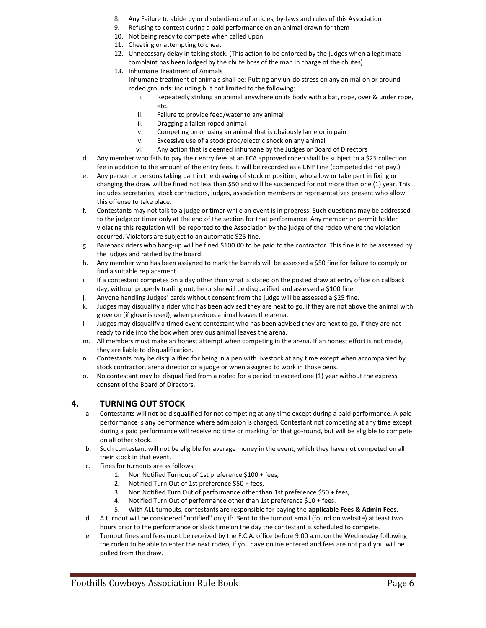- 8. Any Failure to abide by or disobedience of articles, by-laws and rules of this Association
- 9. Refusing to contest during a paid performance on an animal drawn for them
- 10. Not being ready to compete when called upon
- 11. Cheating or attempting to cheat
- 12. Unnecessary delay in taking stock. (This action to be enforced by the judges when a legitimate complaint has been lodged by the chute boss of the man in charge of the chutes)
- 13. Inhumane Treatment of Animals

Inhumane treatment of animals shall be: Putting any un-do stress on any animal on or around rodeo grounds: including but not limited to the following:

- i. Repeatedly striking an animal anywhere on its body with a bat, rope, over & under rope, etc.
- ii. Failure to provide feed/water to any animal
- iii. Dragging a fallen roped animal
- iv. Competing on or using an animal that is obviously lame or in pain
- v. Excessive use of a stock prod/electric shock on any animal
- vi. Any action that is deemed inhumane by the Judges or Board of Directors
- d. Any member who fails to pay their entry fees at an FCA approved rodeo shall be subject to a \$25 collection fee in addition to the amount of the entry fees. It will be recorded as a CNP Fine (competed did not pay.)
- e. Any person or persons taking part in the drawing of stock or position, who allow or take part in fixing or changing the draw will be fined not less than \$50 and will be suspended for not more than one (1) year. This includes secretaries, stock contractors, judges, association members or representatives present who allow this offense to take place.
- f. Contestants may not talk to a judge or timer while an event is in progress. Such questions may be addressed to the judge or timer only at the end of the section for that performance. Any member or permit holder violating this regulation will be reported to the Association by the judge of the rodeo where the violation occurred. Violators are subject to an automatic \$25 fine.
- g. Bareback riders who hang-up will be fined \$100.00 to be paid to the contractor. This fine is to be assessed by the judges and ratified by the board.
- h. Any member who has been assigned to mark the barrels will be assessed a \$50 fine for failure to comply or find a suitable replacement.
- i. If a contestant competes on a day other than what is stated on the posted draw at entry office on callback day, without properly trading out, he or she will be disqualified and assessed a \$100 fine.
- j. Anyone handling Judges' cards without consent from the judge will be assessed a \$25 fine.
- k. Judges may disqualify a rider who has been advised they are next to go, if they are not above the animal with glove on (if glove is used), when previous animal leaves the arena.
- l. Judges may disqualify a timed event contestant who has been advised they are next to go, if they are not ready to ride into the box when previous animal leaves the arena.
- m. All members must make an honest attempt when competing in the arena. If an honest effort is not made, they are liable to disqualification.
- n. Contestants may be disqualified for being in a pen with livestock at any time except when accompanied by stock contractor, arena director or a judge or when assigned to work in those pens.
- o. No contestant may be disqualified from a rodeo for a period to exceed one (1) year without the express consent of the Board of Directors.

#### **4. TURNING OUT STOCK**

- a. Contestants will not be disqualified for not competing at any time except during a paid performance. A paid performance is any performance where admission is charged. Contestant not competing at any time except during a paid performance will receive no time or marking for that go-round, but will be eligible to compete on all other stock.
- b. Such contestant will not be eligible for average money in the event, which they have not competed on all their stock in that event.
- c. Fines for turnouts are as follows:
	- 1. Non Notified Turnout of 1st preference \$100 + fees,
	- 2. Notified Turn Out of 1st preference \$50 + fees,
	- 3. Non Notified Turn Out of performance other than 1st preference \$50 + fees,
	- 4. Notified Turn Out of performance other than 1st preference \$10 + fees.
	- 5. With ALL turnouts, contestants are responsible for paying the **applicable Fees & Admin Fees**.
- d. A turnout will be considered "notified" only if: Sent to the turnout email (found on website) at least two hours prior to the performance or slack time on the day the contestant is scheduled to compete.
- e. Turnout fines and fees must be received by the F.C.A. office before 9:00 a.m. on the Wednesday following the rodeo to be able to enter the next rodeo, if you have online entered and fees are not paid you will be pulled from the draw.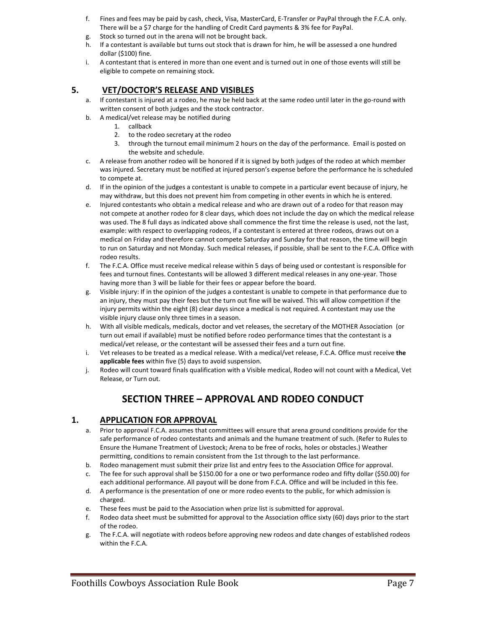- f. Fines and fees may be paid by cash, check, Visa, MasterCard, E-Transfer or PayPal through the F.C.A. only. There will be a \$7 charge for the handling of Credit Card payments & 3% fee for PayPal.
- g. Stock so turned out in the arena will not be brought back.
- h. If a contestant is available but turns out stock that is drawn for him, he will be assessed a one hundred dollar (\$100) fine.
- i. A contestant that is entered in more than one event and is turned out in one of those events will still be eligible to compete on remaining stock.

#### **5. VET/DOCTOR'S RELEASE AND VISIBLES**

- a. If contestant is injured at a rodeo, he may be held back at the same rodeo until later in the go-round with written consent of both judges and the stock contractor.
- b. A medical/vet release may be notified during
	- 1. callback
	- 2. to the rodeo secretary at the rodeo
	- 3. through the turnout email minimum 2 hours on the day of the performance. Email is posted on the website and schedule.
- c. A release from another rodeo will be honored if it is signed by both judges of the rodeo at which member was injured. Secretary must be notified at injured person's expense before the performance he is scheduled to compete at.
- d. If in the opinion of the judges a contestant is unable to compete in a particular event because of injury, he may withdraw, but this does not prevent him from competing in other events in which he is entered.
- e. Injured contestants who obtain a medical release and who are drawn out of a rodeo for that reason may not compete at another rodeo for 8 clear days, which does not include the day on which the medical release was used. The 8 full days as indicated above shall commence the first time the release is used, not the last, example: with respect to overlapping rodeos, if a contestant is entered at three rodeos, draws out on a medical on Friday and therefore cannot compete Saturday and Sunday for that reason, the time will begin to run on Saturday and not Monday. Such medical releases, if possible, shall be sent to the F.C.A. Office with rodeo results.
- f. The F.C.A. Office must receive medical release within 5 days of being used or contestant is responsible for fees and turnout fines. Contestants will be allowed 3 different medical releases in any one-year. Those having more than 3 will be liable for their fees or appear before the board.
- g. Visible injury: If in the opinion of the judges a contestant is unable to compete in that performance due to an injury, they must pay their fees but the turn out fine will be waived. This will allow competition if the injury permits within the eight (8) clear days since a medical is not required. A contestant may use the visible injury clause only three times in a season.
- h. With all visible medicals, medicals, doctor and vet releases, the secretary of the MOTHER Association (or turn out email if available) must be notified before rodeo performance times that the contestant is a medical/vet release, or the contestant will be assessed their fees and a turn out fine.
- i. Vet releases to be treated as a medical release. With a medical/vet release, F.C.A. Office must receive **the applicable fees** within five (5) days to avoid suspension.
- j. Rodeo will count toward finals qualification with a Visible medical, Rodeo will not count with a Medical, Vet Release, or Turn out.

# **SECTION THREE – APPROVAL AND RODEO CONDUCT**

#### **1. APPLICATION FOR APPROVAL**

- a. Prior to approval F.C.A. assumes that committees will ensure that arena ground conditions provide for the safe performance of rodeo contestants and animals and the humane treatment of such. (Refer to Rules to Ensure the Humane Treatment of Livestock; Arena to be free of rocks, holes or obstacles.) Weather permitting, conditions to remain consistent from the 1st through to the last performance.
- b. Rodeo management must submit their prize list and entry fees to the Association Office for approval.
- c. The fee for such approval shall be \$150.00 for a one or two performance rodeo and fifty dollar (\$50.00) for each additional performance. All payout will be done from F.C.A. Office and will be included in this fee.
- d. A performance is the presentation of one or more rodeo events to the public, for which admission is charged.
- e. These fees must be paid to the Association when prize list is submitted for approval.
- f. Rodeo data sheet must be submitted for approval to the Association office sixty (60) days prior to the start of the rodeo.
- g. The F.C.A. will negotiate with rodeos before approving new rodeos and date changes of established rodeos within the F.C.A.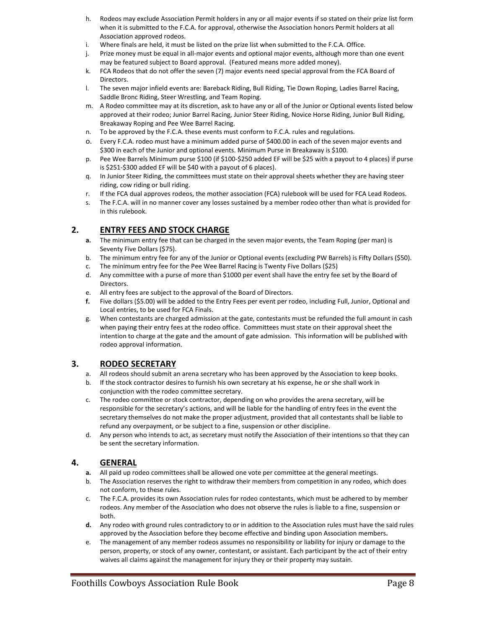- h. Rodeos may exclude Association Permit holders in any or all major events if so stated on their prize list form when it is submitted to the F.C.A. for approval, otherwise the Association honors Permit holders at all Association approved rodeos.
- i. Where finals are held, it must be listed on the prize list when submitted to the F.C.A. Office.<br>j. Prize money must be equal in all-major events and optional major events. although more tha
- Prize money must be equal in all-major events and optional major events, although more than one event may be featured subject to Board approval. (Featured means more added money).
- k. FCA Rodeos that do not offer the seven (7) major events need special approval from the FCA Board of Directors.
- l. The seven major infield events are: Bareback Riding, Bull Riding, Tie Down Roping, Ladies Barrel Racing, Saddle Bronc Riding, Steer Wrestling, and Team Roping.
- m. A Rodeo committee may at its discretion, ask to have any or all of the Junior or Optional events listed below approved at their rodeo; Junior Barrel Racing, Junior Steer Riding, Novice Horse Riding, Junior Bull Riding, Breakaway Roping and Pee Wee Barrel Racing.
- n. To be approved by the F.C.A. these events must conform to F.C.A. rules and regulations.
- o. Every F.C.A. rodeo must have a minimum added purse of \$400.00 in each of the seven major events and \$300 in each of the Junior and optional events. Minimum Purse in Breakaway is \$100.
- p. Pee Wee Barrels Minimum purse \$100 (if \$100-\$250 added EF will be \$25 with a payout to 4 places) if purse is \$251-\$300 added EF will be \$40 with a payout of 6 places).
- q. In Junior Steer Riding, the committees must state on their approval sheets whether they are having steer riding, cow riding or bull riding.
- r. If the FCA dual approves rodeos, the mother association (FCA) rulebook will be used for FCA Lead Rodeos.
- s. The F.C.A. will in no manner cover any losses sustained by a member rodeo other than what is provided for in this rulebook.

### **2. ENTRY FEES AND STOCK CHARGE**

- **a.** The minimum entry fee that can be charged in the seven major events, the Team Roping (per man) is Seventy Five Dollars (\$75).
- b. The minimum entry fee for any of the Junior or Optional events (excluding PW Barrels) is Fifty Dollars (\$50).
- c. The minimum entry fee for the Pee Wee Barrel Racing is Twenty Five Dollars (\$25)
- d. Any committee with a purse of more than \$1000 per event shall have the entry fee set by the Board of Directors.
- e. All entry fees are subject to the approval of the Board of Directors.<br>**f.** Five dollars (\$5.00) will be added to the Entry Fees per event per ro
- **f.** Five dollars (\$5.00) will be added to the Entry Fees per event per rodeo, including Full, Junior, Optional and Local entries, to be used for FCA Finals.
- g. When contestants are charged admission at the gate, contestants must be refunded the full amount in cash when paying their entry fees at the rodeo office. Committees must state on their approval sheet the intention to charge at the gate and the amount of gate admission. This information will be published with rodeo approval information.

#### **3. RODEO SECRETARY**

- a. All rodeos should submit an arena secretary who has been approved by the Association to keep books.
- b. If the stock contractor desires to furnish his own secretary at his expense, he or she shall work in conjunction with the rodeo committee secretary.
- c. The rodeo committee or stock contractor, depending on who provides the arena secretary, will be responsible for the secretary's actions, and will be liable for the handling of entry fees in the event the secretary themselves do not make the proper adjustment, provided that all contestants shall be liable to refund any overpayment, or be subject to a fine, suspension or other discipline.
- d. Any person who intends to act, as secretary must notify the Association of their intentions so that they can be sent the secretary information.

### **4. GENERAL**

- **a.** All paid up rodeo committees shall be allowed one vote per committee at the general meetings.
- b. The Association reserves the right to withdraw their members from competition in any rodeo, which does not conform, to these rules.
- c. The F.C.A. provides its own Association rules for rodeo contestants, which must be adhered to by member rodeos. Any member of the Association who does not observe the rules is liable to a fine, suspension or both.
- **d.** Any rodeo with ground rules contradictory to or in addition to the Association rules must have the said rules approved by the Association before they become effective and binding upon Association members**.**
- e. The management of any member rodeos assumes no responsibility or liability for injury or damage to the person, property, or stock of any owner, contestant, or assistant. Each participant by the act of their entry waives all claims against the management for injury they or their property may sustain.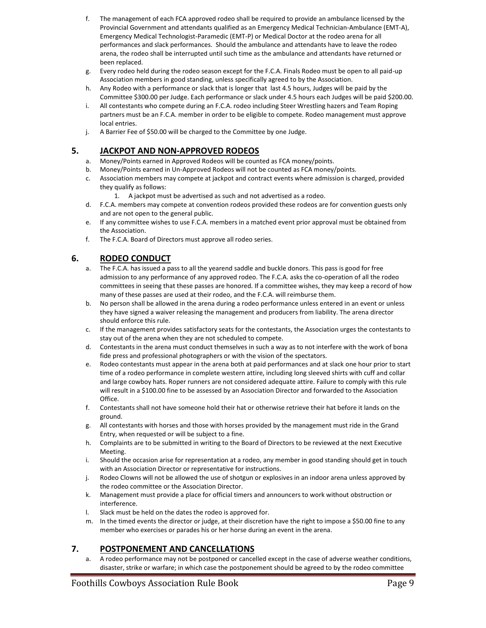- f. The management of each FCA approved rodeo shall be required to provide an ambulance licensed by the Provincial Government and attendants qualified as an Emergency Medical Technician-Ambulance (EMT-A), Emergency Medical Technologist-Paramedic (EMT-P) or Medical Doctor at the rodeo arena for all performances and slack performances. Should the ambulance and attendants have to leave the rodeo arena, the rodeo shall be interrupted until such time as the ambulance and attendants have returned or been replaced.
- g. Every rodeo held during the rodeo season except for the F.C.A. Finals Rodeo must be open to all paid-up Association members in good standing, unless specifically agreed to by the Association.
- h. Any Rodeo with a performance or slack that is longer that last 4.5 hours, Judges will be paid by the Committee \$300.00 per Judge. Each performance or slack under 4.5 hours each Judges will be paid \$200.00.
- i. All contestants who compete during an F.C.A. rodeo including Steer Wrestling hazers and Team Roping partners must be an F.C.A. member in order to be eligible to compete. Rodeo management must approve local entries.
- j. A Barrier Fee of \$50.00 will be charged to the Committee by one Judge.

#### **5. JACKPOT AND NON-APPROVED RODEOS**

- a. Money/Points earned in Approved Rodeos will be counted as FCA money/points.
- b. Money/Points earned in Un-Approved Rodeos will not be counted as FCA money/points.
- c. Association members may compete at jackpot and contract events where admission is charged, provided they qualify as follows:
	- 1. A jackpot must be advertised as such and not advertised as a rodeo.
- d. F.C.A. members may compete at convention rodeos provided these rodeos are for convention guests only and are not open to the general public.
- e. If any committee wishes to use F.C.A. members in a matched event prior approval must be obtained from the Association.
- f. The F.C.A. Board of Directors must approve all rodeo series.

#### **6. RODEO CONDUCT**

- a. The F.C.A. has issued a pass to all the yearend saddle and buckle donors. This pass is good for free admission to any performance of any approved rodeo. The F.C.A. asks the co-operation of all the rodeo committees in seeing that these passes are honored. If a committee wishes, they may keep a record of how many of these passes are used at their rodeo, and the F.C.A. will reimburse them.
- b. No person shall be allowed in the arena during a rodeo performance unless entered in an event or unless they have signed a waiver releasing the management and producers from liability. The arena director should enforce this rule.
- c. If the management provides satisfactory seats for the contestants, the Association urges the contestants to stay out of the arena when they are not scheduled to compete.
- d. Contestants in the arena must conduct themselves in such a way as to not interfere with the work of bona fide press and professional photographers or with the vision of the spectators.
- e. Rodeo contestants must appear in the arena both at paid performances and at slack one hour prior to start time of a rodeo performance in complete western attire, including long sleeved shirts with cuff and collar and large cowboy hats. Roper runners are not considered adequate attire. Failure to comply with this rule will result in a \$100.00 fine to be assessed by an Association Director and forwarded to the Association Office.
- f. Contestants shall not have someone hold their hat or otherwise retrieve their hat before it lands on the ground.
- g. All contestants with horses and those with horses provided by the management must ride in the Grand Entry, when requested or will be subject to a fine.
- h. Complaints are to be submitted in writing to the Board of Directors to be reviewed at the next Executive Meeting.
- i. Should the occasion arise for representation at a rodeo, any member in good standing should get in touch with an Association Director or representative for instructions.
- j. Rodeo Clowns will not be allowed the use of shotgun or explosives in an indoor arena unless approved by the rodeo committee or the Association Director.
- k. Management must provide a place for official timers and announcers to work without obstruction or interference.
- l. Slack must be held on the dates the rodeo is approved for.
- m. In the timed events the director or judge, at their discretion have the right to impose a \$50.00 fine to any member who exercises or parades his or her horse during an event in the arena.

### **7. POSTPONEMENT AND CANCELLATIONS**

a. A rodeo performance may not be postponed or cancelled except in the case of adverse weather conditions, disaster, strike or warfare; in which case the postponement should be agreed to by the rodeo committee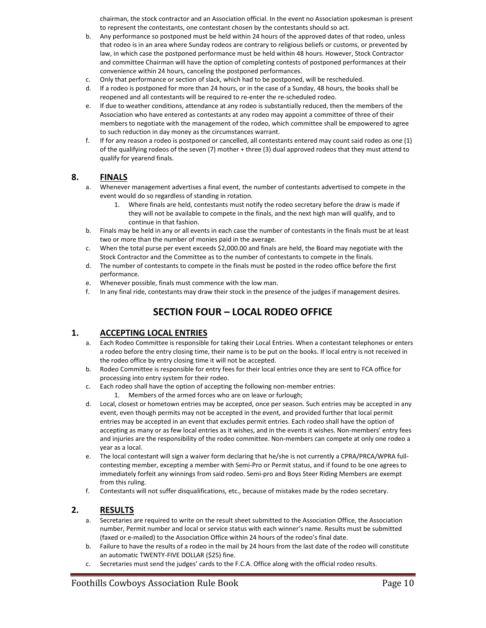chairman, the stock contractor and an Association official. In the event no Association spokesman is present to represent the contestants, one contestant chosen by the contestants should so act.

- b. Any performance so postponed must be held within 24 hours of the approved dates of that rodeo, unless that rodeo is in an area where Sunday rodeos are contrary to religious beliefs or customs, or prevented by law, in which case the postponed performance must be held within 48 hours. However, Stock Contractor and committee Chairman will have the option of completing contests of postponed performances at their convenience within 24 hours, canceling the postponed performances.
- c. Only that performance or section of slack, which had to be postponed, will be rescheduled.
- d. If a rodeo is postponed for more than 24 hours, or in the case of a Sunday, 48 hours, the books shall be reopened and all contestants will be required to re-enter the re-scheduled rodeo.
- e. If due to weather conditions, attendance at any rodeo is substantially reduced, then the members of the Association who have entered as contestants at any rodeo may appoint a committee of three of their members to negotiate with the management of the rodeo, which committee shall be empowered to agree to such reduction in day money as the circumstances warrant.
- f. If for any reason a rodeo is postponed or cancelled, all contestants entered may count said rodeo as one (1) of the qualifying rodeos of the seven (7) mother + three (3) dual approved rodeos that they must attend to qualify for yearend finals.

#### **8. FINALS**

- a. Whenever management advertises a final event, the number of contestants advertised to compete in the event would do so regardless of standing in rotation.
	- 1. Where finals are held, contestants must notify the rodeo secretary before the draw is made if they will not be available to compete in the finals, and the next high man will qualify, and to continue in that fashion.
- b. Finals may be held in any or all events in each case the number of contestants in the finals must be at least two or more than the number of monies paid in the average.
- c. When the total purse per event exceeds \$2,000.00 and finals are held, the Board may negotiate with the Stock Contractor and the Committee as to the number of contestants to compete in the finals.
- d. The number of contestants to compete in the finals must be posted in the rodeo office before the first performance.
- e. Whenever possible, finals must commence with the low man.
- f. In any final ride, contestants may draw their stock in the presence of the judges if management desires.

# **SECTION FOUR – LOCAL RODEO OFFICE**

#### **1. ACCEPTING LOCAL ENTRIES**

- a. Each Rodeo Committee is responsible for taking their Local Entries. When a contestant telephones or enters a rodeo before the entry closing time, their name is to be put on the books. If local entry is not received in the rodeo office by entry closing time it will not be accepted.
- b. Rodeo Committee is responsible for entry fees for their local entries once they are sent to FCA office for processing into entry system for their rodeo.
- c. Each rodeo shall have the option of accepting the following non-member entries:
	- 1. Members of the armed forces who are on leave or furlough;
- d. Local, closest or hometown entries may be accepted, once per season. Such entries may be accepted in any event, even though permits may not be accepted in the event, and provided further that local permit entries may be accepted in an event that excludes permit entries. Each rodeo shall have the option of accepting as many or as few local entries as it wishes, and in the events it wishes. Non-members' entry fees and injuries are the responsibility of the rodeo committee. Non-members can compete at only one rodeo a year as a local.
- e. The local contestant will sign a waiver form declaring that he/she is not currently a CPRA/PRCA/WPRA fullcontesting member, excepting a member with Semi-Pro or Permit status, and if found to be one agrees to immediately forfeit any winnings from said rodeo. Semi-pro and Boys Steer Riding Members are exempt from this ruling.
- f. Contestants will not suffer disqualifications, etc., because of mistakes made by the rodeo secretary.

#### **2. RESULTS**

- a. Secretaries are required to write on the result sheet submitted to the Association Office, the Association number, Permit number and local or service status with each winner's name. Results must be submitted (faxed or e-mailed) to the Association Office within 24 hours of the rodeo's final date.
- b. Failure to have the results of a rodeo in the mail by 24 hours from the last date of the rodeo will constitute an automatic TWENTY-FIVE DOLLAR (\$25) fine.
- c. Secretaries must send the judges' cards to the F.C.A. Office along with the official rodeo results.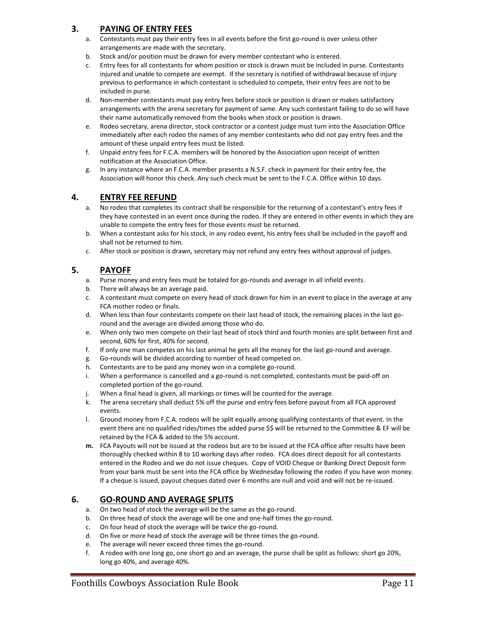## **3. PAYING OF ENTRY FEES**

- a. Contestants must pay their entry fees in all events before the first go-round is over unless other arrangements are made with the secretary.
- b. Stock and/or position must be drawn for every member contestant who is entered.
- c. Entry fees for all contestants for whom position or stock is drawn must be included in purse. Contestants injured and unable to compete are exempt. If the secretary is notified of withdrawal because of injury previous to performance in which contestant is scheduled to compete, their entry fees are not to be included in purse.
- d. Non-member contestants must pay entry fees before stock or position is drawn or makes satisfactory arrangements with the arena secretary for payment of same. Any such contestant failing to do so will have their name automatically removed from the books when stock or position is drawn.
- e. Rodeo secretary, arena director, stock contractor or a contest judge must turn into the Association Office immediately after each rodeo the names of any member contestants who did not pay entry fees and the amount of these unpaid entry fees must be listed.
- f. Unpaid entry fees for F.C.A. members will be honored by the Association upon receipt of written notification at the Association Office.
- g. In any instance where an F.C.A. member presents a N.S.F. check in payment for their entry fee, the Association will honor this check. Any such check must be sent to the F.C.A. Office within 10 days.

#### **4. ENTRY FEE REFUND**

- a. No rodeo that completes its contract shall be responsible for the returning of a contestant's entry fees if they have contested in an event once during the rodeo. If they are entered in other events in which they are unable to compete the entry fees for those events must be returned.
- b. When a contestant asks for his stock, in any rodeo event, his entry fees shall be included in the payoff and shall not be returned to him.
- c. After stock or position is drawn, secretary may not refund any entry fees without approval of judges.

## **5. PAYOFF**

- a. Purse money and entry fees must be totaled for go-rounds and average in all infield events.
- b. There will always be an average paid.
- c. A contestant must compete on every head of stock drawn for him in an event to place in the average at any FCA mother rodeo or finals.
- d. When less than four contestants compete on their last head of stock, the remaining places in the last goround and the average are divided among those who do.
- e. When only two men compete on their last head of stock third and fourth monies are split between first and second, 60% for first, 40% for second.
- f. If only one man competes on his last animal he gets all the money for the last go-round and average.
- g. Go-rounds will be divided according to number of head competed on.
- h. Contestants are to be paid any money won in a complete go-round.
- i. When a performance is cancelled and a go-round is not completed, contestants must be paid-off on completed portion of the go-round.
- j. When a final head is given, all markings or times will be counted for the average.
- k. The arena secretary shall deduct 5% off the purse and entry fees before payout from all FCA approved events.
- l. Ground money from F.C.A. rodeos will be split equally among qualifying contestants of that event. In the event there are no qualified rides/times the added purse \$\$ will be returned to the Committee & EF will be retained by the FCA & added to the 5% account.
- **m.** FCA Payouts will not be issued at the rodeos but are to be issued at the FCA office after results have been thoroughly checked within 8 to 10 working days after rodeo. FCA does direct deposit for all contestants entered in the Rodeo and we do not issue cheques. Copy of VOID Cheque or Banking Direct Deposit form from your bank must be sent into the FCA office by Wednesday following the rodeo if you have won money. If a cheque is issued, payout cheques dated over 6 months are null and void and will not be re-issued.

### **6. GO-ROUND AND AVERAGE SPLITS**

- a. On two head of stock the average will be the same as the go-round.
- b. On three head of stock the average will be one and one-half times the go-round.
- c. On four head of stock the average will be twice the go-round.
- d. On five or more head of stock the average will be three times the go-round.
- e. The average will never exceed three times the go-round.
- f. A rodeo with one long go, one short go and an average, the purse shall be split as follows: short go 20%, long go 40%, and average 40%.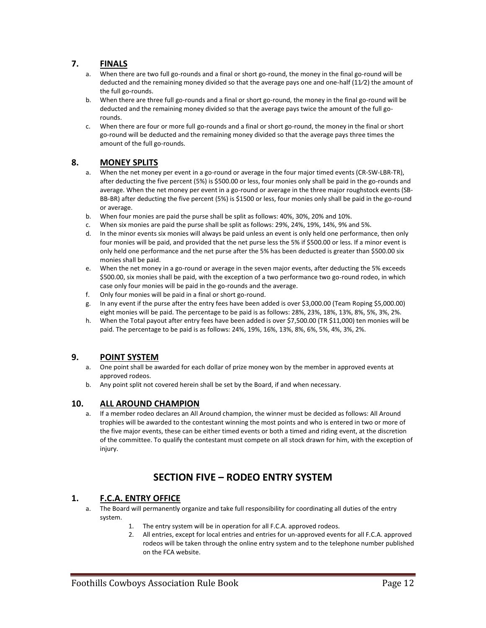#### **7. FINALS**

- a. When there are two full go-rounds and a final or short go-round, the money in the final go-round will be deducted and the remaining money divided so that the average pays one and one-half (11⁄2) the amount of the full go-rounds.
- b. When there are three full go-rounds and a final or short go-round, the money in the final go-round will be deducted and the remaining money divided so that the average pays twice the amount of the full gorounds.
- c. When there are four or more full go-rounds and a final or short go-round, the money in the final or short go-round will be deducted and the remaining money divided so that the average pays three times the amount of the full go-rounds.

#### **8. MONEY SPLITS**

- a. When the net money per event in a go-round or average in the four major timed events (CR-SW-LBR-TR), after deducting the five percent (5%) is \$500.00 or less, four monies only shall be paid in the go-rounds and average. When the net money per event in a go-round or average in the three major roughstock events (SB-BB-BR) after deducting the five percent (5%) is \$1500 or less, four monies only shall be paid in the go-round or average.
- b. When four monies are paid the purse shall be split as follows: 40%, 30%, 20% and 10%.
- c. When six monies are paid the purse shall be split as follows: 29%, 24%, 19%, 14%, 9% and 5%.
- d. In the minor events six monies will always be paid unless an event is only held one performance, then only four monies will be paid, and provided that the net purse less the 5% if \$500.00 or less. If a minor event is only held one performance and the net purse after the 5% has been deducted is greater than \$500.00 six monies shall be paid.
- e. When the net money in a go-round or average in the seven major events, after deducting the 5% exceeds \$500.00, six monies shall be paid, with the exception of a two performance two go-round rodeo, in which case only four monies will be paid in the go-rounds and the average.
- f. Only four monies will be paid in a final or short go-round.
- g. In any event if the purse after the entry fees have been added is over \$3,000.00 (Team Roping \$5,000.00) eight monies will be paid. The percentage to be paid is as follows: 28%, 23%, 18%, 13%, 8%, 5%, 3%, 2%.
- h. When the Total payout after entry fees have been added is over \$7,500.00 (TR \$11,000) ten monies will be paid. The percentage to be paid is as follows: 24%, 19%, 16%, 13%, 8%, 6%, 5%, 4%, 3%, 2%.

### **9. POINT SYSTEM**

- a. One point shall be awarded for each dollar of prize money won by the member in approved events at approved rodeos.
- b. Any point split not covered herein shall be set by the Board, if and when necessary.

#### **10. ALL AROUND CHAMPION**

a. If a member rodeo declares an All Around champion, the winner must be decided as follows: All Around trophies will be awarded to the contestant winning the most points and who is entered in two or more of the five major events, these can be either timed events or both a timed and riding event, at the discretion of the committee. To qualify the contestant must compete on all stock drawn for him, with the exception of injury.

# **SECTION FIVE – RODEO ENTRY SYSTEM**

#### **1. F.C.A. ENTRY OFFICE**

- a. The Board will permanently organize and take full responsibility for coordinating all duties of the entry system.
	- 1. The entry system will be in operation for all F.C.A. approved rodeos.
	- 2. All entries, except for local entries and entries for un-approved events for all F.C.A. approved rodeos will be taken through the online entry system and to the telephone number published on the FCA website.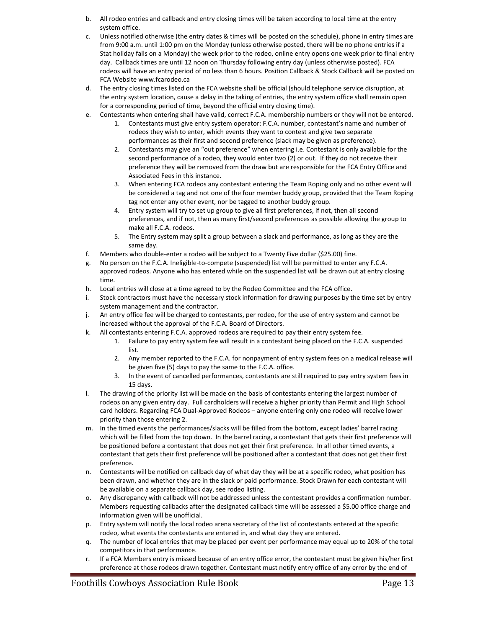- b. All rodeo entries and callback and entry closing times will be taken according to local time at the entry system office.
- c. Unless notified otherwise (the entry dates & times will be posted on the schedule), phone in entry times are from 9:00 a.m. until 1:00 pm on the Monday (unless otherwise posted, there will be no phone entries if a Stat holiday falls on a Monday) the week prior to the rodeo, online entry opens one week prior to final entry day. Callback times are until 12 noon on Thursday following entry day (unless otherwise posted). FCA rodeos will have an entry period of no less than 6 hours. Position Callback & Stock Callback will be posted on FCA Website www.fcarodeo.ca
- d. The entry closing times listed on the FCA website shall be official (should telephone service disruption, at the entry system location, cause a delay in the taking of entries, the entry system office shall remain open for a corresponding period of time, beyond the official entry closing time).
- e. Contestants when entering shall have valid, correct F.C.A. membership numbers or they will not be entered.
	- 1. Contestants must give entry system operator: F.C.A. number, contestant's name and number of rodeos they wish to enter, which events they want to contest and give two separate performances as their first and second preference (slack may be given as preference).
	- 2. Contestants may give an "out preference" when entering i.e. Contestant is only available for the second performance of a rodeo, they would enter two (2) or out. If they do not receive their preference they will be removed from the draw but are responsible for the FCA Entry Office and Associated Fees in this instance.
	- 3. When entering FCA rodeos any contestant entering the Team Roping only and no other event will be considered a tag and not one of the four member buddy group, provided that the Team Roping tag not enter any other event, nor be tagged to another buddy group.
	- 4. Entry system will try to set up group to give all first preferences, if not, then all second preferences, and if not, then as many first/second preferences as possible allowing the group to make all F.C.A. rodeos.
	- 5. The Entry system may split a group between a slack and performance, as long as they are the same day.
- f. Members who double-enter a rodeo will be subject to a Twenty Five dollar (\$25.00) fine.
- g. No person on the F.C.A. Ineligible-to-compete (suspended) list will be permitted to enter any F.C.A. approved rodeos. Anyone who has entered while on the suspended list will be drawn out at entry closing time.
- h. Local entries will close at a time agreed to by the Rodeo Committee and the FCA office.
- i. Stock contractors must have the necessary stock information for drawing purposes by the time set by entry system management and the contractor.
- j. An entry office fee will be charged to contestants, per rodeo, for the use of entry system and cannot be increased without the approval of the F.C.A. Board of Directors.
- k. All contestants entering F.C.A. approved rodeos are required to pay their entry system fee.
	- 1. Failure to pay entry system fee will result in a contestant being placed on the F.C.A. suspended list.
	- 2. Any member reported to the F.C.A. for nonpayment of entry system fees on a medical release will be given five (5) days to pay the same to the F.C.A. office.
	- 3. In the event of cancelled performances, contestants are still required to pay entry system fees in 15 days.
- l. The drawing of the priority list will be made on the basis of contestants entering the largest number of rodeos on any given entry day. Full cardholders will receive a higher priority than Permit and High School card holders. Regarding FCA Dual-Approved Rodeos – anyone entering only one rodeo will receive lower priority than those entering 2.
- m. In the timed events the performances/slacks will be filled from the bottom, except ladies' barrel racing which will be filled from the top down. In the barrel racing, a contestant that gets their first preference will be positioned before a contestant that does not get their first preference. In all other timed events, a contestant that gets their first preference will be positioned after a contestant that does not get their first preference.
- n. Contestants will be notified on callback day of what day they will be at a specific rodeo, what position has been drawn, and whether they are in the slack or paid performance. Stock Drawn for each contestant will be available on a separate callback day, see rodeo listing.
- o. Any discrepancy with callback will not be addressed unless the contestant provides a confirmation number. Members requesting callbacks after the designated callback time will be assessed a \$5.00 office charge and information given will be unofficial.
- p. Entry system will notify the local rodeo arena secretary of the list of contestants entered at the specific rodeo, what events the contestants are entered in, and what day they are entered.
- q. The number of local entries that may be placed per event per performance may equal up to 20% of the total competitors in that performance.
- r. If a FCA Members entry is missed because of an entry office error, the contestant must be given his/her first preference at those rodeos drawn together. Contestant must notify entry office of any error by the end of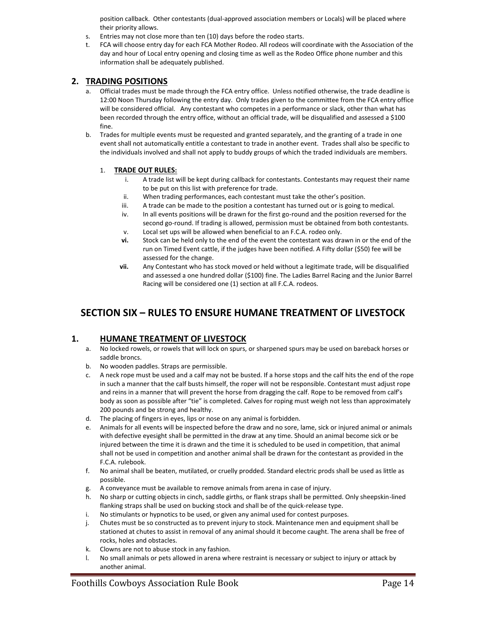position callback. Other contestants (dual-approved association members or Locals) will be placed where their priority allows.

- s. Entries may not close more than ten (10) days before the rodeo starts.
- t. FCA will choose entry day for each FCA Mother Rodeo. All rodeos will coordinate with the Association of the day and hour of Local entry opening and closing time as well as the Rodeo Office phone number and this information shall be adequately published.

#### **2. TRADING POSITIONS**

- a. Official trades must be made through the FCA entry office. Unless notified otherwise, the trade deadline is 12:00 Noon Thursday following the entry day. Only trades given to the committee from the FCA entry office will be considered official. Any contestant who competes in a performance or slack, other than what has been recorded through the entry office, without an official trade, will be disqualified and assessed a \$100 fine.
- b. Trades for multiple events must be requested and granted separately, and the granting of a trade in one event shall not automatically entitle a contestant to trade in another event. Trades shall also be specific to the individuals involved and shall not apply to buddy groups of which the traded individuals are members.

#### 1. **TRADE OUT RULES:**

- i. A trade list will be kept during callback for contestants. Contestants may request their name to be put on this list with preference for trade.
- ii. When trading performances, each contestant must take the other's position.
- iii. A trade can be made to the position a contestant has turned out or is going to medical.
- iv. In all events positions will be drawn for the first go-round and the position reversed for the second go-round. If trading is allowed, permission must be obtained from both contestants.
- v. Local set ups will be allowed when beneficial to an F.C.A. rodeo only.
- **vi.** Stock can be held only to the end of the event the contestant was drawn in or the end of the run on Timed Event cattle, if the judges have been notified. A Fifty dollar (\$50) fee will be assessed for the change.
- **vii.** Any Contestant who has stock moved or held without a legitimate trade, will be disqualified and assessed a one hundred dollar (\$100) fine. The Ladies Barrel Racing and the Junior Barrel Racing will be considered one (1) section at all F.C.A. rodeos.

# **SECTION SIX – RULES TO ENSURE HUMANE TREATMENT OF LIVESTOCK**

#### **1. HUMANE TREATMENT OF LIVESTOCK**

- a. No locked rowels, or rowels that will lock on spurs, or sharpened spurs may be used on bareback horses or saddle broncs.
- b. No wooden paddles. Straps are permissible.
- c. A neck rope must be used and a calf may not be busted. If a horse stops and the calf hits the end of the rope in such a manner that the calf busts himself, the roper will not be responsible. Contestant must adjust rope and reins in a manner that will prevent the horse from dragging the calf. Rope to be removed from calf's body as soon as possible after "tie" is completed. Calves for roping must weigh not less than approximately 200 pounds and be strong and healthy.
- d. The placing of fingers in eyes, lips or nose on any animal is forbidden.
- e. Animals for all events will be inspected before the draw and no sore, lame, sick or injured animal or animals with defective eyesight shall be permitted in the draw at any time. Should an animal become sick or be injured between the time it is drawn and the time it is scheduled to be used in competition, that animal shall not be used in competition and another animal shall be drawn for the contestant as provided in the F.C.A. rulebook.
- f. No animal shall be beaten, mutilated, or cruelly prodded. Standard electric prods shall be used as little as possible.
- g. A conveyance must be available to remove animals from arena in case of injury.
- h. No sharp or cutting objects in cinch, saddle girths, or flank straps shall be permitted. Only sheepskin-lined flanking straps shall be used on bucking stock and shall be of the quick-release type.
- i. No stimulants or hypnotics to be used, or given any animal used for contest purposes.
- j. Chutes must be so constructed as to prevent injury to stock. Maintenance men and equipment shall be stationed at chutes to assist in removal of any animal should it become caught. The arena shall be free of rocks, holes and obstacles.
- k. Clowns are not to abuse stock in any fashion.
- l. No small animals or pets allowed in arena where restraint is necessary or subject to injury or attack by another animal.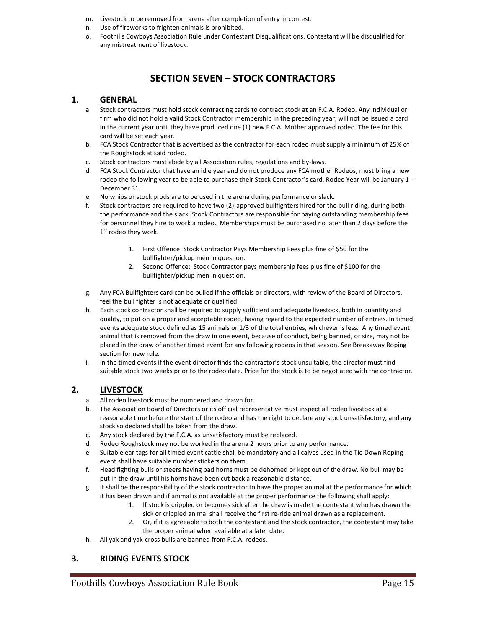- m. Livestock to be removed from arena after completion of entry in contest.
- n. Use of fireworks to frighten animals is prohibited.
- o. Foothills Cowboys Association Rule under Contestant Disqualifications. Contestant will be disqualified for any mistreatment of livestock.

# **SECTION SEVEN – STOCK CONTRACTORS**

#### **1. GENERAL**

- a. Stock contractors must hold stock contracting cards to contract stock at an F.C.A. Rodeo. Any individual or firm who did not hold a valid Stock Contractor membership in the preceding year, will not be issued a card in the current year until they have produced one (1) new F.C.A. Mother approved rodeo. The fee for this card will be set each year.
- b. FCA Stock Contractor that is advertised as the contractor for each rodeo must supply a minimum of 25% of the Roughstock at said rodeo.
- c. Stock contractors must abide by all Association rules, regulations and by-laws.
- d. FCA Stock Contractor that have an idle year and do not produce any FCA mother Rodeos, must bring a new rodeo the following year to be able to purchase their Stock Contractor's card. Rodeo Year will be January 1 - December 31.
- e. No whips or stock prods are to be used in the arena during performance or slack.
- f. Stock contractors are required to have two (2)-approved bullfighters hired for the bull riding, during both the performance and the slack. Stock Contractors are responsible for paying outstanding membership fees for personnel they hire to work a rodeo. Memberships must be purchased no later than 2 days before the 1st rodeo they work.
	- 1. First Offence: Stock Contractor Pays Membership Fees plus fine of \$50 for the bullfighter/pickup men in question.
	- 2. Second Offence: Stock Contractor pays membership fees plus fine of \$100 for the bullfighter/pickup men in question.
- g. Any FCA Bullfighters card can be pulled if the officials or directors, with review of the Board of Directors, feel the bull fighter is not adequate or qualified.
- h. Each stock contractor shall be required to supply sufficient and adequate livestock, both in quantity and quality, to put on a proper and acceptable rodeo, having regard to the expected number of entries. In timed events adequate stock defined as 15 animals or 1/3 of the total entries, whichever is less. Any timed event animal that is removed from the draw in one event, because of conduct, being banned, or size, may not be placed in the draw of another timed event for any following rodeos in that season. See Breakaway Roping section for new rule.
- i. In the timed events if the event director finds the contractor's stock unsuitable, the director must find suitable stock two weeks prior to the rodeo date. Price for the stock is to be negotiated with the contractor.

### **2. LIVESTOCK**

- a. All rodeo livestock must be numbered and drawn for.
- b. The Association Board of Directors or its official representative must inspect all rodeo livestock at a reasonable time before the start of the rodeo and has the right to declare any stock unsatisfactory, and any stock so declared shall be taken from the draw.
- c. Any stock declared by the F.C.A. as unsatisfactory must be replaced.
- d. Rodeo Roughstock may not be worked in the arena 2 hours prior to any performance.
- e. Suitable ear tags for all timed event cattle shall be mandatory and all calves used in the Tie Down Roping event shall have suitable number stickers on them.
- f. Head fighting bulls or steers having bad horns must be dehorned or kept out of the draw. No bull may be put in the draw until his horns have been cut back a reasonable distance.
- g. It shall be the responsibility of the stock contractor to have the proper animal at the performance for which it has been drawn and if animal is not available at the proper performance the following shall apply:
	- 1. If stock is crippled or becomes sick after the draw is made the contestant who has drawn the sick or crippled animal shall receive the first re-ride animal drawn as a replacement.
	- 2. Or, if it is agreeable to both the contestant and the stock contractor, the contestant may take the proper animal when available at a later date.
- h. All yak and yak-cross bulls are banned from F.C.A. rodeos.

### **3. RIDING EVENTS STOCK**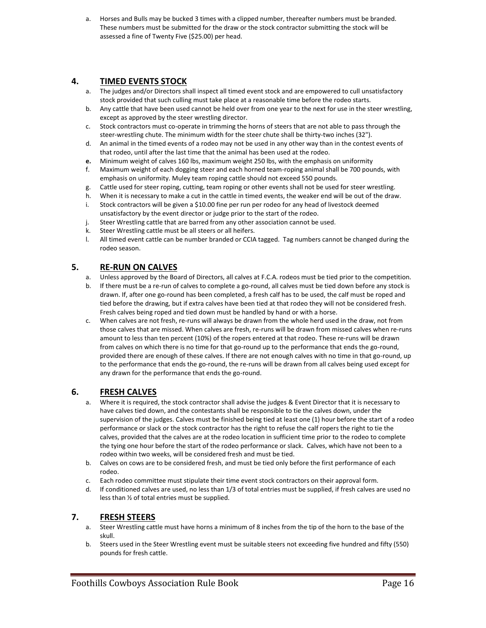a. Horses and Bulls may be bucked 3 times with a clipped number, thereafter numbers must be branded. These numbers must be submitted for the draw or the stock contractor submitting the stock will be assessed a fine of Twenty Five (\$25.00) per head.

### **4. TIMED EVENTS STOCK**

- a. The judges and/or Directors shall inspect all timed event stock and are empowered to cull unsatisfactory stock provided that such culling must take place at a reasonable time before the rodeo starts.
- b. Any cattle that have been used cannot be held over from one year to the next for use in the steer wrestling, except as approved by the steer wrestling director.
- c. Stock contractors must co-operate in trimming the horns of steers that are not able to pass through the steer-wrestling chute. The minimum width for the steer chute shall be thirty-two inches (32").
- d. An animal in the timed events of a rodeo may not be used in any other way than in the contest events of that rodeo, until after the last time that the animal has been used at the rodeo.
- **e.** Minimum weight of calves 160 lbs, maximum weight 250 lbs, with the emphasis on uniformity
- f. Maximum weight of each dogging steer and each horned team-roping animal shall be 700 pounds, with emphasis on uniformity. Muley team roping cattle should not exceed 550 pounds.
- g. Cattle used for steer roping, cutting, team roping or other events shall not be used for steer wrestling.
- h. When it is necessary to make a cut in the cattle in timed events, the weaker end will be out of the draw.
- i. Stock contractors will be given a \$10.00 fine per run per rodeo for any head of livestock deemed unsatisfactory by the event director or judge prior to the start of the rodeo.
- j. Steer Wrestling cattle that are barred from any other association cannot be used.
- k. Steer Wrestling cattle must be all steers or all heifers.
- l. All timed event cattle can be number branded or CCIA tagged. Tag numbers cannot be changed during the rodeo season.

### **5. RE-RUN ON CALVES**

- a. Unless approved by the Board of Directors, all calves at F.C.A. rodeos must be tied prior to the competition.
- b. If there must be a re-run of calves to complete a go-round, all calves must be tied down before any stock is drawn. If, after one go-round has been completed, a fresh calf has to be used, the calf must be roped and tied before the drawing, but if extra calves have been tied at that rodeo they will not be considered fresh. Fresh calves being roped and tied down must be handled by hand or with a horse.
- c. When calves are not fresh, re-runs will always be drawn from the whole herd used in the draw, not from those calves that are missed. When calves are fresh, re-runs will be drawn from missed calves when re-runs amount to less than ten percent (10%) of the ropers entered at that rodeo. These re-runs will be drawn from calves on which there is no time for that go-round up to the performance that ends the go-round, provided there are enough of these calves. If there are not enough calves with no time in that go-round, up to the performance that ends the go-round, the re-runs will be drawn from all calves being used except for any drawn for the performance that ends the go-round.

### **6. FRESH CALVES**

- a. Where it is required, the stock contractor shall advise the judges & Event Director that it is necessary to have calves tied down, and the contestants shall be responsible to tie the calves down, under the supervision of the judges. Calves must be finished being tied at least one (1) hour before the start of a rodeo performance or slack or the stock contractor has the right to refuse the calf ropers the right to tie the calves, provided that the calves are at the rodeo location in sufficient time prior to the rodeo to complete the tying one hour before the start of the rodeo performance or slack. Calves, which have not been to a rodeo within two weeks, will be considered fresh and must be tied.
- b. Calves on cows are to be considered fresh, and must be tied only before the first performance of each rodeo.
- c. Each rodeo committee must stipulate their time event stock contractors on their approval form.
- d. If conditioned calves are used, no less than 1/3 of total entries must be supplied, if fresh calves are used no less than ½ of total entries must be supplied.

### **7. FRESH STEERS**

- a. Steer Wrestling cattle must have horns a minimum of 8 inches from the tip of the horn to the base of the skull.
- b. Steers used in the Steer Wrestling event must be suitable steers not exceeding five hundred and fifty (550) pounds for fresh cattle.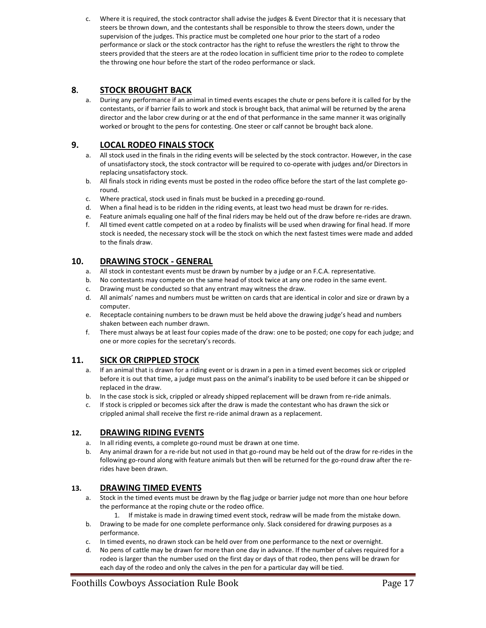c. Where it is required, the stock contractor shall advise the judges & Event Director that it is necessary that steers be thrown down, and the contestants shall be responsible to throw the steers down, under the supervision of the judges. This practice must be completed one hour prior to the start of a rodeo performance or slack or the stock contractor has the right to refuse the wrestlers the right to throw the steers provided that the steers are at the rodeo location in sufficient time prior to the rodeo to complete the throwing one hour before the start of the rodeo performance or slack.

## **8. STOCK BROUGHT BACK**

a. During any performance if an animal in timed events escapes the chute or pens before it is called for by the contestants, or if barrier fails to work and stock is brought back, that animal will be returned by the arena director and the labor crew during or at the end of that performance in the same manner it was originally worked or brought to the pens for contesting. One steer or calf cannot be brought back alone.

### **9. LOCAL RODEO FINALS STOCK**

- a. All stock used in the finals in the riding events will be selected by the stock contractor. However, in the case of unsatisfactory stock, the stock contractor will be required to co-operate with judges and/or Directors in replacing unsatisfactory stock.
- b. All finals stock in riding events must be posted in the rodeo office before the start of the last complete goround.
- c. Where practical, stock used in finals must be bucked in a preceding go-round.
- d. When a final head is to be ridden in the riding events, at least two head must be drawn for re-rides.
- e. Feature animals equaling one half of the final riders may be held out of the draw before re-rides are drawn.
- f. All timed event cattle competed on at a rodeo by finalists will be used when drawing for final head. If more stock is needed, the necessary stock will be the stock on which the next fastest times were made and added to the finals draw.

## **10. DRAWING STOCK - GENERAL**

- a. All stock in contestant events must be drawn by number by a judge or an F.C.A. representative.
- b. No contestants may compete on the same head of stock twice at any one rodeo in the same event.
- c. Drawing must be conducted so that any entrant may witness the draw.
- d. All animals' names and numbers must be written on cards that are identical in color and size or drawn by a computer.
- e. Receptacle containing numbers to be drawn must be held above the drawing judge's head and numbers shaken between each number drawn.
- f. There must always be at least four copies made of the draw: one to be posted; one copy for each judge; and one or more copies for the secretary's records.

### **11. SICK OR CRIPPLED STOCK**

- a. If an animal that is drawn for a riding event or is drawn in a pen in a timed event becomes sick or crippled before it is out that time, a judge must pass on the animal's inability to be used before it can be shipped or replaced in the draw.
- b. In the case stock is sick, crippled or already shipped replacement will be drawn from re-ride animals.
- c. If stock is crippled or becomes sick after the draw is made the contestant who has drawn the sick or crippled animal shall receive the first re-ride animal drawn as a replacement.

#### **12. DRAWING RIDING EVENTS**

- a. In all riding events, a complete go-round must be drawn at one time.
- b. Any animal drawn for a re-ride but not used in that go-round may be held out of the draw for re-rides in the following go-round along with feature animals but then will be returned for the go-round draw after the rerides have been drawn.

### **13. DRAWING TIMED EVENTS**

- a. Stock in the timed events must be drawn by the flag judge or barrier judge not more than one hour before the performance at the roping chute or the rodeo office.
	- 1. If mistake is made in drawing timed event stock, redraw will be made from the mistake down.
- b. Drawing to be made for one complete performance only. Slack considered for drawing purposes as a performance.
- c. In timed events, no drawn stock can be held over from one performance to the next or overnight.
- d. No pens of cattle may be drawn for more than one day in advance. If the number of calves required for a rodeo is larger than the number used on the first day or days of that rodeo, then pens will be drawn for each day of the rodeo and only the calves in the pen for a particular day will be tied.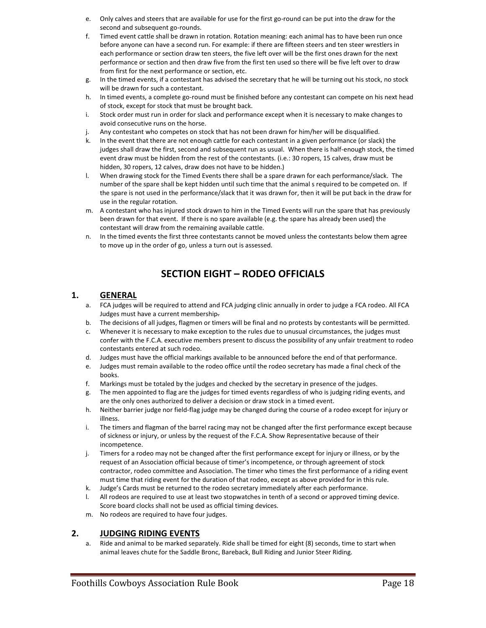- e. Only calves and steers that are available for use for the first go-round can be put into the draw for the second and subsequent go-rounds.
- f. Timed event cattle shall be drawn in rotation. Rotation meaning: each animal has to have been run once before anyone can have a second run. For example: if there are fifteen steers and ten steer wrestlers in each performance or section draw ten steers, the five left over will be the first ones drawn for the next performance or section and then draw five from the first ten used so there will be five left over to draw from first for the next performance or section, etc.
- g. In the timed events, if a contestant has advised the secretary that he will be turning out his stock, no stock will be drawn for such a contestant.
- h. In timed events, a complete go-round must be finished before any contestant can compete on his next head of stock, except for stock that must be brought back.
- i. Stock order must run in order for slack and performance except when it is necessary to make changes to avoid consecutive runs on the horse.
- j. Any contestant who competes on stock that has not been drawn for him/her will be disqualified.
- k. In the event that there are not enough cattle for each contestant in a given performance (or slack) the judges shall draw the first, second and subsequent run as usual. When there is half-enough stock, the timed event draw must be hidden from the rest of the contestants. (i.e.: 30 ropers, 15 calves, draw must be hidden, 30 ropers, 12 calves, draw does not have to be hidden.)
- l. When drawing stock for the Timed Events there shall be a spare drawn for each performance/slack. The number of the spare shall be kept hidden until such time that the animal s required to be competed on. If the spare is not used in the performance/slack that it was drawn for, then it will be put back in the draw for use in the regular rotation.
- m. A contestant who has injured stock drawn to him in the Timed Events will run the spare that has previously been drawn for that event. If there is no spare available (e.g. the spare has already been used) the contestant will draw from the remaining available cattle.
- n. In the timed events the first three contestants cannot be moved unless the contestants below them agree to move up in the order of go, unless a turn out is assessed.

# **SECTION EIGHT – RODEO OFFICIALS**

#### **1. GENERAL**

- a. FCA judges will be required to attend and FCA judging clinic annually in order to judge a FCA rodeo. All FCA Judges must have a current membership.
- b. The decisions of all judges, flagmen or timers will be final and no protests by contestants will be permitted.
- c. Whenever it is necessary to make exception to the rules due to unusual circumstances, the judges must confer with the F.C.A. executive members present to discuss the possibility of any unfair treatment to rodeo contestants entered at such rodeo.
- d. Judges must have the official markings available to be announced before the end of that performance.
- e. Judges must remain available to the rodeo office until the rodeo secretary has made a final check of the books.
- f. Markings must be totaled by the judges and checked by the secretary in presence of the judges.
- g. The men appointed to flag are the judges for timed events regardless of who is judging riding events, and are the only ones authorized to deliver a decision or draw stock in a timed event.
- h. Neither barrier judge nor field-flag judge may be changed during the course of a rodeo except for injury or illness.
- i. The timers and flagman of the barrel racing may not be changed after the first performance except because of sickness or injury, or unless by the request of the F.C.A. Show Representative because of their incompetence.
- j. Timers for a rodeo may not be changed after the first performance except for injury or illness, or by the request of an Association official because of timer's incompetence, or through agreement of stock contractor, rodeo committee and Association. The timer who times the first performance of a riding event must time that riding event for the duration of that rodeo, except as above provided for in this rule.
- k. Judge's Cards must be returned to the rodeo secretary immediately after each performance.
- l. All rodeos are required to use at least two stopwatches in tenth of a second or approved timing device. Score board clocks shall not be used as official timing devices.
- m. No rodeos are required to have four judges.

#### **2. JUDGING RIDING EVENTS**

a. Ride and animal to be marked separately. Ride shall be timed for eight (8) seconds, time to start when animal leaves chute for the Saddle Bronc, Bareback, Bull Riding and Junior Steer Riding.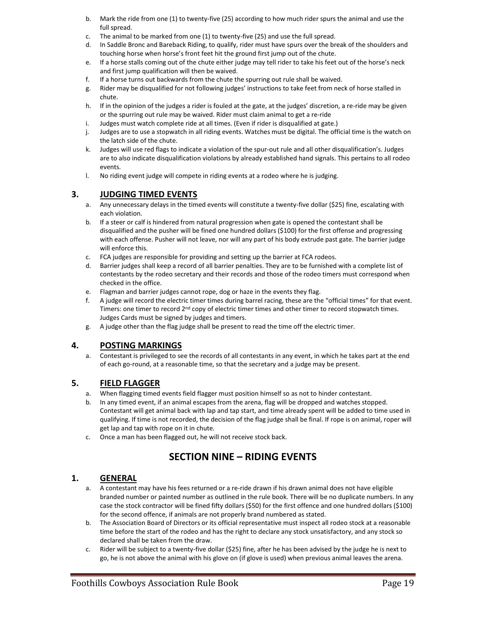- b. Mark the ride from one (1) to twenty-five (25) according to how much rider spurs the animal and use the full spread.
- c. The animal to be marked from one (1) to twenty-five (25) and use the full spread.
- d. In Saddle Bronc and Bareback Riding, to qualify, rider must have spurs over the break of the shoulders and touching horse when horse's front feet hit the ground first jump out of the chute.
- e. If a horse stalls coming out of the chute either judge may tell rider to take his feet out of the horse's neck and first jump qualification will then be waived.
- f. If a horse turns out backwards from the chute the spurring out rule shall be waived.
- g. Rider may be disqualified for not following judges' instructions to take feet from neck of horse stalled in chute.
- h. If in the opinion of the judges a rider is fouled at the gate, at the judges' discretion, a re-ride may be given or the spurring out rule may be waived. Rider must claim animal to get a re-ride
- i. Judges must watch complete ride at all times. (Even if rider is disqualified at gate.)
- j. Judges are to use a stopwatch in all riding events. Watches must be digital. The official time is the watch on the latch side of the chute.
- k. Judges will use red flags to indicate a violation of the spur-out rule and all other disqualification's. Judges are to also indicate disqualification violations by already established hand signals. This pertains to all rodeo events.
- l. No riding event judge will compete in riding events at a rodeo where he is judging.

#### **3. JUDGING TIMED EVENTS**

- a. Any unnecessary delays in the timed events will constitute a twenty-five dollar (\$25) fine, escalating with each violation.
- b. If a steer or calf is hindered from natural progression when gate is opened the contestant shall be disqualified and the pusher will be fined one hundred dollars (\$100) for the first offense and progressing with each offense. Pusher will not leave, nor will any part of his body extrude past gate. The barrier judge will enforce this.
- c. FCA judges are responsible for providing and setting up the barrier at FCA rodeos.
- d. Barrier judges shall keep a record of all barrier penalties. They are to be furnished with a complete list of contestants by the rodeo secretary and their records and those of the rodeo timers must correspond when checked in the office.
- e. Flagman and barrier judges cannot rope, dog or haze in the events they flag.
- f. A judge will record the electric timer times during barrel racing, these are the "official times" for that event. Timers: one timer to record 2<sup>nd</sup> copy of electric timer times and other timer to record stopwatch times. Judges Cards must be signed by judges and timers.
- g. A judge other than the flag judge shall be present to read the time off the electric timer.

#### **4. POSTING MARKINGS**

a. Contestant is privileged to see the records of all contestants in any event, in which he takes part at the end of each go-round, at a reasonable time, so that the secretary and a judge may be present.

### **5. FIELD FLAGGER**

- a. When flagging timed events field flagger must position himself so as not to hinder contestant.
- b. In any timed event, if an animal escapes from the arena, flag will be dropped and watches stopped. Contestant will get animal back with lap and tap start, and time already spent will be added to time used in qualifying. If time is not recorded, the decision of the flag judge shall be final. If rope is on animal, roper will get lap and tap with rope on it in chute.
- c. Once a man has been flagged out, he will not receive stock back.

# **SECTION NINE – RIDING EVENTS**

#### **1. GENERAL**

- a. A contestant may have his fees returned or a re-ride drawn if his drawn animal does not have eligible branded number or painted number as outlined in the rule book. There will be no duplicate numbers. In any case the stock contractor will be fined fifty dollars (\$50) for the first offence and one hundred dollars (\$100) for the second offence, if animals are not properly brand numbered as stated.
- b. The Association Board of Directors or its official representative must inspect all rodeo stock at a reasonable time before the start of the rodeo and has the right to declare any stock unsatisfactory, and any stock so declared shall be taken from the draw.
- c. Rider will be subject to a twenty-five dollar (\$25) fine, after he has been advised by the judge he is next to go, he is not above the animal with his glove on (if glove is used) when previous animal leaves the arena.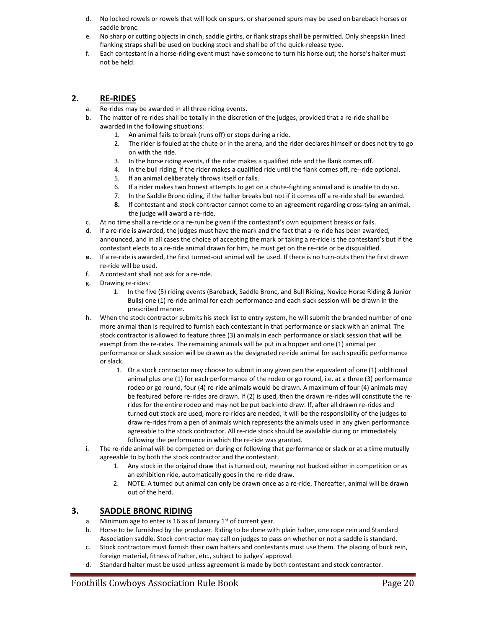- d. No locked rowels or rowels that will lock on spurs, or sharpened spurs may be used on bareback horses or saddle bronc.
- e. No sharp or cutting objects in cinch, saddle girths, or flank straps shall be permitted. Only sheepskin lined flanking straps shall be used on bucking stock and shall be of the quick-release type.
- f. Each contestant in a horse-riding event must have someone to turn his horse out; the horse's halter must not be held.

#### **2. RE-RIDES**

- a. Re-rides may be awarded in all three riding events.
- b. The matter of re-rides shall be totally in the discretion of the judges, provided that a re-ride shall be awarded in the following situations:
	- 1. An animal fails to break (runs off) or stops during a ride.
	- 2. The rider is fouled at the chute or in the arena, and the rider declares himself or does not try to go on with the ride.
	- 3. In the horse riding events, if the rider makes a qualified ride and the flank comes off.
	- 4. In the bull riding, if the rider makes a qualified ride until the flank comes off, re--ride optional.
	- 5. If an animal deliberately throws itself or falls.
	- 6. If a rider makes two honest attempts to get on a chute-fighting animal and is unable to do so.
	- 7. In the Saddle Bronc riding, if the halter breaks but not if it comes off a re-ride shall be awarded.
	- **8.** If contestant and stock contractor cannot come to an agreement regarding cross-tying an animal, the judge will award a re-ride.
- c. At no time shall a re-ride or a re-run be given if the contestant's own equipment breaks or fails.
- d. If a re-ride is awarded, the judges must have the mark and the fact that a re-ride has been awarded, announced, and in all cases the choice of accepting the mark or taking a re-ride is the contestant's but if the contestant elects to a re-ride animal drawn for him, he must get on the re-ride or be disqualified.
- **e.** If a re-ride is awarded, the first turned-out animal will be used. If there is no turn-outs then the first drawn re-ride will be used.
- f. A contestant shall not ask for a re-ride.
- g. Drawing re-rides:
	- 1. In the five (5) riding events (Bareback, Saddle Bronc, and Bull Riding, Novice Horse Riding & Junior Bulls) one (1) re-ride animal for each performance and each slack session will be drawn in the prescribed manner.
- h. When the stock contractor submits his stock list to entry system, he will submit the branded number of one more animal than is required to furnish each contestant in that performance or slack with an animal. The stock contractor is allowed to feature three (3) animals in each performance or slack session that will be exempt from the re-rides. The remaining animals will be put in a hopper and one (1) animal per performance or slack session will be drawn as the designated re-ride animal for each specific performance or slack.
	- 1. Or a stock contractor may choose to submit in any given pen the equivalent of one (1) additional animal plus one (1) for each performance of the rodeo or go round, i.e. at a three (3) performance rodeo or go round, four (4) re-ride animals would be drawn. A maximum of four (4) animals may be featured before re-rides are drawn. If (2) is used, then the drawn re-rides will constitute the rerides for the entire rodeo and may not be put back into draw. If, after all drawn re-rides and turned out stock are used, more re-rides are needed, it will be the responsibility of the judges to draw re-rides from a pen of animals which represents the animals used in any given performance agreeable to the stock contractor. All re-ride stock should be available during or immediately following the performance in which the re-ride was granted.
- i. The re-ride animal will be competed on during or following that performance or slack or at a time mutually agreeable to by both the stock contractor and the contestant.
	- 1. Any stock in the original draw that is turned out, meaning not bucked either in competition or as an exhibition ride, automatically goes in the re-ride draw.
	- 2. NOTE: A turned out animal can only be drawn once as a re-ride. Thereafter, animal will be drawn out of the herd.

#### **3. SADDLE BRONC RIDING**

- a. Minimum age to enter is 16 as of January  $1<sup>st</sup>$  of current year.
- b. Horse to be furnished by the producer. Riding to be done with plain halter, one rope rein and Standard Association saddle. Stock contractor may call on judges to pass on whether or not a saddle is standard.
- c. Stock contractors must furnish their own halters and contestants must use them. The placing of buck rein, foreign material, fitness of halter, etc., subject to judges' approval.
- d. Standard halter must be used unless agreement is made by both contestant and stock contractor.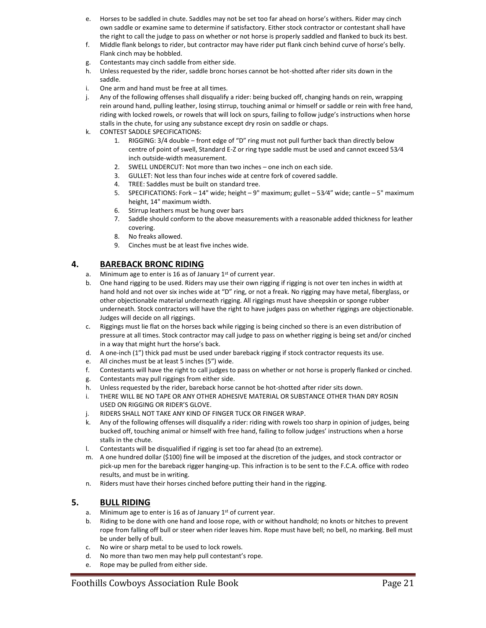- e. Horses to be saddled in chute. Saddles may not be set too far ahead on horse's withers. Rider may cinch own saddle or examine same to determine if satisfactory. Either stock contractor or contestant shall have the right to call the judge to pass on whether or not horse is properly saddled and flanked to buck its best.
- f. Middle flank belongs to rider, but contractor may have rider put flank cinch behind curve of horse's belly. Flank cinch may be hobbled.
- g. Contestants may cinch saddle from either side.
- h. Unless requested by the rider, saddle bronc horses cannot be hot-shotted after rider sits down in the saddle.
- i. One arm and hand must be free at all times.
- j. Any of the following offenses shall disqualify a rider: being bucked off, changing hands on rein, wrapping rein around hand, pulling leather, losing stirrup, touching animal or himself or saddle or rein with free hand, riding with locked rowels, or rowels that will lock on spurs, failing to follow judge's instructions when horse stalls in the chute, for using any substance except dry rosin on saddle or chaps.
- k. CONTEST SADDLE SPECIFICATIONS:
	- 1. RIGGING: 3/4 double front edge of "D" ring must not pull further back than directly below centre of point of swell, Standard E-Z or ring type saddle must be used and cannot exceed 53⁄4 inch outside-width measurement.
	- 2. SWELL UNDERCUT: Not more than two inches one inch on each side.
	- 3. GULLET: Not less than four inches wide at centre fork of covered saddle.
	- 4. TREE: Saddles must be built on standard tree.
	- 5. SPECIFICATIONS: Fork 14" wide; height 9" maximum; gullet 53⁄4" wide; cantle 5" maximum height, 14" maximum width.
	- 6. Stirrup leathers must be hung over bars
	- 7. Saddle should conform to the above measurements with a reasonable added thickness for leather covering.
	- 8. No freaks allowed.
	- 9. Cinches must be at least five inches wide.

#### **4. BAREBACK BRONC RIDING**

- a. Minimum age to enter is 16 as of January  $1<sup>st</sup>$  of current year.
- b. One hand rigging to be used. Riders may use their own rigging if rigging is not over ten inches in width at hand hold and not over six inches wide at "D" ring, or not a freak. No rigging may have metal, fiberglass, or other objectionable material underneath rigging. All riggings must have sheepskin or sponge rubber underneath. Stock contractors will have the right to have judges pass on whether riggings are objectionable. Judges will decide on all riggings.
- c. Riggings must lie flat on the horses back while rigging is being cinched so there is an even distribution of pressure at all times. Stock contractor may call judge to pass on whether rigging is being set and/or cinched in a way that might hurt the horse's back.
- d. A one-inch (1") thick pad must be used under bareback rigging if stock contractor requests its use.
- e. All cinches must be at least 5 inches (5") wide.
- f. Contestants will have the right to call judges to pass on whether or not horse is properly flanked or cinched.
- g. Contestants may pull riggings from either side.
- h. Unless requested by the rider, bareback horse cannot be hot-shotted after rider sits down.
- i. THERE WILL BE NO TAPE OR ANY OTHER ADHESIVE MATERIAL OR SUBSTANCE OTHER THAN DRY ROSIN USED ON RIGGING OR RIDER'S GLOVE.
- j. RIDERS SHALL NOT TAKE ANY KIND OF FINGER TUCK OR FINGER WRAP.
- k. Any of the following offenses will disqualify a rider: riding with rowels too sharp in opinion of judges, being bucked off, touching animal or himself with free hand, failing to follow judges' instructions when a horse stalls in the chute.
- l. Contestants will be disqualified if rigging is set too far ahead (to an extreme).
- m. A one hundred dollar (\$100) fine will be imposed at the discretion of the judges, and stock contractor or pick-up men for the bareback rigger hanging-up. This infraction is to be sent to the F.C.A. office with rodeo results, and must be in writing.
- n. Riders must have their horses cinched before putting their hand in the rigging.

#### **5. BULL RIDING**

- a. Minimum age to enter is 16 as of January 1<sup>st</sup> of current year.
- b. Riding to be done with one hand and loose rope, with or without handhold; no knots or hitches to prevent rope from falling off bull or steer when rider leaves him. Rope must have bell; no bell, no marking. Bell must be under belly of bull.
- c. No wire or sharp metal to be used to lock rowels.
- d. No more than two men may help pull contestant's rope.
- e. Rope may be pulled from either side.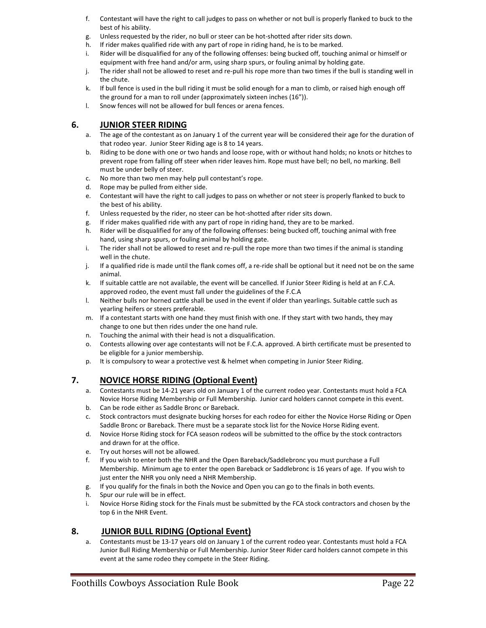- f. Contestant will have the right to call judges to pass on whether or not bull is properly flanked to buck to the best of his ability.
- g. Unless requested by the rider, no bull or steer can be hot-shotted after rider sits down.
- h. If rider makes qualified ride with any part of rope in riding hand, he is to be marked.
- i. Rider will be disqualified for any of the following offenses: being bucked off, touching animal or himself or equipment with free hand and/or arm, using sharp spurs, or fouling animal by holding gate.
- j. The rider shall not be allowed to reset and re-pull his rope more than two times if the bull is standing well in the chute.
- k. If bull fence is used in the bull riding it must be solid enough for a man to climb, or raised high enough off the ground for a man to roll under (approximately sixteen inches (16")).
- l. Snow fences will not be allowed for bull fences or arena fences.

#### **6. JUNIOR STEER RIDING**

- a. The age of the contestant as on January 1 of the current year will be considered their age for the duration of that rodeo year. Junior Steer Riding age is 8 to 14 years.
- b. Riding to be done with one or two hands and loose rope, with or without hand holds; no knots or hitches to prevent rope from falling off steer when rider leaves him. Rope must have bell; no bell, no marking. Bell must be under belly of steer.
- c. No more than two men may help pull contestant's rope.
- d. Rope may be pulled from either side.
- e. Contestant will have the right to call judges to pass on whether or not steer is properly flanked to buck to the best of his ability.
- f. Unless requested by the rider, no steer can be hot-shotted after rider sits down.
- g. If rider makes qualified ride with any part of rope in riding hand, they are to be marked.
- h. Rider will be disqualified for any of the following offenses: being bucked off, touching animal with free hand, using sharp spurs, or fouling animal by holding gate.
- i. The rider shall not be allowed to reset and re-pull the rope more than two times if the animal is standing well in the chute.
- j. If a qualified ride is made until the flank comes off, a re-ride shall be optional but it need not be on the same animal.
- k. If suitable cattle are not available, the event will be cancelled. If Junior Steer Riding is held at an F.C.A. approved rodeo, the event must fall under the guidelines of the F.C.A
- l. Neither bulls nor horned cattle shall be used in the event if older than yearlings. Suitable cattle such as yearling heifers or steers preferable.
- m. If a contestant starts with one hand they must finish with one. If they start with two hands, they may change to one but then rides under the one hand rule.
- n. Touching the animal with their head is not a disqualification.
- o. Contests allowing over age contestants will not be F.C.A. approved. A birth certificate must be presented to be eligible for a junior membership.
- p. It is compulsory to wear a protective vest & helmet when competing in Junior Steer Riding.

#### **7. NOVICE HORSE RIDING (Optional Event)**

- a. Contestants must be 14-21 years old on January 1 of the current rodeo year. Contestants must hold a FCA Novice Horse Riding Membership or Full Membership. Junior card holders cannot compete in this event.
- b. Can be rode either as Saddle Bronc or Bareback.
- c. Stock contractors must designate bucking horses for each rodeo for either the Novice Horse Riding or Open Saddle Bronc or Bareback. There must be a separate stock list for the Novice Horse Riding event.
- d. Novice Horse Riding stock for FCA season rodeos will be submitted to the office by the stock contractors and drawn for at the office.
- e. Try out horses will not be allowed.
- f. If you wish to enter both the NHR and the Open Bareback/Saddlebronc you must purchase a Full Membership. Minimum age to enter the open Bareback or Saddlebronc is 16 years of age. If you wish to just enter the NHR you only need a NHR Membership.
- g. If you qualify for the finals in both the Novice and Open you can go to the finals in both events.
- h. Spur our rule will be in effect.
- i. Novice Horse Riding stock for the Finals must be submitted by the FCA stock contractors and chosen by the top 6 in the NHR Event.

#### **8. JUNIOR BULL RIDING (Optional Event)**

a. Contestants must be 13-17 years old on January 1 of the current rodeo year. Contestants must hold a FCA Junior Bull Riding Membership or Full Membership. Junior Steer Rider card holders cannot compete in this event at the same rodeo they compete in the Steer Riding.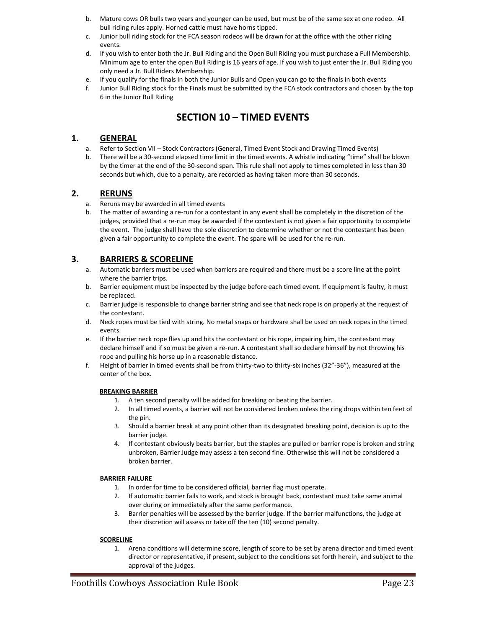- b. Mature cows OR bulls two years and younger can be used, but must be of the same sex at one rodeo.All bull riding rules apply. Horned cattle must have horns tipped.
- c. Junior bull riding stock for the FCA season rodeos will be drawn for at the office with the other riding events.
- d. If you wish to enter both the Jr. Bull Riding and the Open Bull Riding you must purchase a Full Membership. Minimum age to enter the open Bull Riding is 16 years of age. If you wish to just enter the Jr. Bull Riding you only need a Jr. Bull Riders Membership.
- e. If you qualify for the finals in both the Junior Bulls and Open you can go to the finals in both events
- f. Junior Bull Riding stock for the Finals must be submitted by the FCA stock contractors and chosen by the top 6 in the Junior Bull Riding

# **SECTION 10 – TIMED EVENTS**

#### **1. GENERAL**

- a. Refer to Section VII Stock Contractors (General, Timed Event Stock and Drawing Timed Events)
- b. There will be a 30-second elapsed time limit in the timed events. A whistle indicating "time" shall be blown by the timer at the end of the 30-second span. This rule shall not apply to times completed in less than 30 seconds but which, due to a penalty, are recorded as having taken more than 30 seconds.

#### **2. RERUNS**

- a. Reruns may be awarded in all timed events
- b. The matter of awarding a re-run for a contestant in any event shall be completely in the discretion of the judges, provided that a re-run may be awarded if the contestant is not given a fair opportunity to complete the event. The judge shall have the sole discretion to determine whether or not the contestant has been given a fair opportunity to complete the event. The spare will be used for the re-run.

#### **3. BARRIERS & SCORELINE**

- a. Automatic barriers must be used when barriers are required and there must be a score line at the point where the barrier trips.
- b. Barrier equipment must be inspected by the judge before each timed event. If equipment is faulty, it must be replaced.
- c. Barrier judge is responsible to change barrier string and see that neck rope is on properly at the request of the contestant.
- d. Neck ropes must be tied with string. No metal snaps or hardware shall be used on neck ropes in the timed events.
- e. If the barrier neck rope flies up and hits the contestant or his rope, impairing him, the contestant may declare himself and if so must be given a re-run. A contestant shall so declare himself by not throwing his rope and pulling his horse up in a reasonable distance.
- f. Height of barrier in timed events shall be from thirty-two to thirty-six inches (32"-36"), measured at the center of the box.

#### **BREAKING BARRIER**

- 1. A ten second penalty will be added for breaking or beating the barrier.
- 2. In all timed events, a barrier will not be considered broken unless the ring drops within ten feet of the pin.
- 3. Should a barrier break at any point other than its designated breaking point, decision is up to the barrier judge.
- 4. If contestant obviously beats barrier, but the staples are pulled or barrier rope is broken and string unbroken, Barrier Judge may assess a ten second fine. Otherwise this will not be considered a broken barrier.

#### **BARRIER FAILURE**

- 1. In order for time to be considered official, barrier flag must operate.
- 2. If automatic barrier fails to work, and stock is brought back, contestant must take same animal over during or immediately after the same performance.
- 3. Barrier penalties will be assessed by the barrier judge. If the barrier malfunctions, the judge at their discretion will assess or take off the ten (10) second penalty.

#### **SCORELINE**

1. Arena conditions will determine score, length of score to be set by arena director and timed event director or representative, if present, subject to the conditions set forth herein, and subject to the approval of the judges.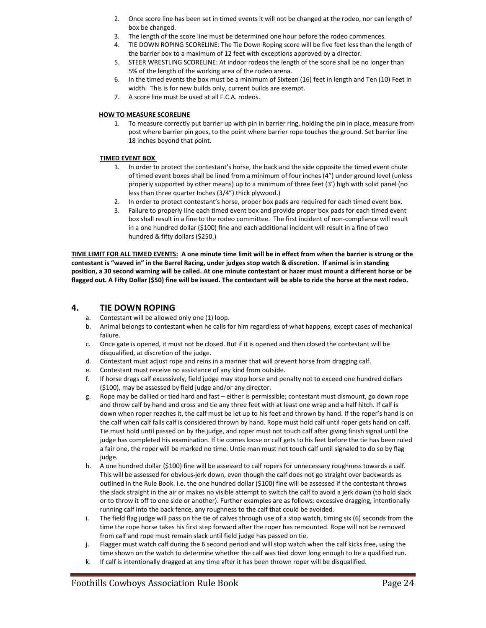- 2. Once score line has been set in timed events it will not be changed at the rodeo, nor can length of box be changed.
- 3. The length of the score line must be determined one hour before the rodeo commences.
- 4. TIE DOWN ROPING SCORELINE: The Tie Down Roping score will be five feet less than the length of the barrier box to a maximum of 12 feet with exceptions approved by a director.
- 5. STEER WRESTLING SCORELINE: At indoor rodeos the length of the score shall be no longer than 5% of the length of the working area of the rodeo arena.
- 6. In the timed events the box must be a minimum of Sixteen (16) feet in length and Ten (10) Feet in width. This is for new builds only, current builds are exempt.
- 7. A score line must be used at all F.C.A. rodeos.

#### **HOW TO MEASURE SCORELINE**

1. To measure correctly put barrier up with pin in barrier ring, holding the pin in place, measure from post where barrier pin goes, to the point where barrier rope touches the ground. Set barrier line 18 inches beyond that point.

#### **TIMED EVENT BOX**

- 1. In order to protect the contestant's horse, the back and the side opposite the timed event chute of timed event boxes shall be lined from a minimum of four inches (4") under ground level (unless properly supported by other means) up to a minimum of three feet (3') high with solid panel (no less than three quarter Inches (3/4") thick plywood.)
- 2. In order to protect contestant's horse, proper box pads are required for each timed event box.
- 3. Failure to properly line each timed event box and provide proper box pads for each timed event box shall result in a fine to the rodeo committee. The first incident of non-compliance will result in a one hundred dollar (\$100) fine and each additional incident will result in a fine of two hundred & fifty dollars (\$250.)

**TIME LIMIT FOR ALL TIMED EVENTS: A one minute time limit will be in effect from when the barrier is strung or the contestant is "waved in" in the Barrel Racing, under judges stop watch & discretion. If animal is in standing position, a 30 second warning will be called. At one minute contestant or hazer must mount a different horse or be flagged out. A Fifty Dollar (\$50) fine will be issued. The contestant will be able to ride the horse at the next rodeo.**

#### **4. TIE DOWN ROPING**

- a. Contestant will be allowed only one (1) loop.
- b. Animal belongs to contestant when he calls for him regardless of what happens, except cases of mechanical failure.
- c. Once gate is opened, it must not be closed. But if it is opened and then closed the contestant will be disqualified, at discretion of the judge.
- d. Contestant must adjust rope and reins in a manner that will prevent horse from dragging calf.
- e. Contestant must receive no assistance of any kind from outside.
- f. If horse drags calf excessively, field judge may stop horse and penalty not to exceed one hundred dollars (\$100), may be assessed by field judge and/or any director.
- g. Rope may be dallied or tied hard and fast either is permissible; contestant must dismount, go down rope and throw calf by hand and cross and tie any three feet with at least one wrap and a half hitch. If calf is down when roper reaches it, the calf must be let up to his feet and thrown by hand. If the roper's hand is on the calf when calf falls calf is considered thrown by hand. Rope must hold calf until roper gets hand on calf. Tie must hold until passed on by the judge, and roper must not touch calf after giving finish signal until the judge has completed his examination. If tie comes loose or calf gets to his feet before the tie has been ruled a fair one, the roper will be marked no time. Untie man must not touch calf until signaled to do so by flag judge.
- h. A one hundred dollar (\$100) fine will be assessed to calf ropers for unnecessary roughness towards a calf. This will be assessed for obvious jerk down, even though the calf does not go straight over backwards as outlined in the Rule Book. i.e. the one hundred dollar (\$100) fine will be assessed if the contestant throws the slack straight in the air or makes no visible attempt to switch the calf to avoid a jerk down (to hold slack or to throw it off to one side or another). Further examples are as follows: excessive dragging, intentionally running calf into the back fence, any roughness to the calf that could be avoided.
- i. The field flag judge will pass on the tie of calves through use of a stop watch, timing six (6) seconds from the time the rope horse takes his first step forward after the roper has remounted. Rope will not be removed from calf and rope must remain slack until field judge has passed on tie.
- j. Flagger must watch calf during the 6 second period and will stop watch when the calf kicks free, using the time shown on the watch to determine whether the calf was tied down long enough to be a qualified run.
- k. If calf is intentionally dragged at any time after it has been thrown roper will be disqualified.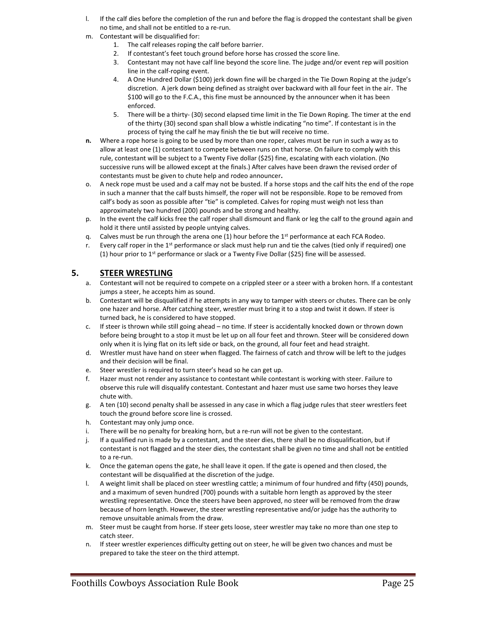- l. If the calf dies before the completion of the run and before the flag is dropped the contestant shall be given no time, and shall not be entitled to a re-run.
- m. Contestant will be disqualified for:
	- 1. The calf releases roping the calf before barrier.
	- 2. If contestant's feet touch ground before horse has crossed the score line.
	- 3. Contestant may not have calf line beyond the score line. The judge and/or event rep will position line in the calf-roping event.
	- 4. A One Hundred Dollar (\$100) jerk down fine will be charged in the Tie Down Roping at the judge's discretion. A jerk down being defined as straight over backward with all four feet in the air. The \$100 will go to the F.C.A., this fine must be announced by the announcer when it has been enforced.
	- 5. There will be a thirty- (30) second elapsed time limit in the Tie Down Roping. The timer at the end of the thirty (30) second span shall blow a whistle indicating "no time". If contestant is in the process of tying the calf he may finish the tie but will receive no time.
- **n.** Where a rope horse is going to be used by more than one roper, calves must be run in such a way as to allow at least one (1) contestant to compete between runs on that horse. On failure to comply with this rule, contestant will be subject to a Twenty Five dollar (\$25) fine, escalating with each violation. (No successive runs will be allowed except at the finals.) After calves have been drawn the revised order of contestants must be given to chute help and rodeo announcer**.**
- o. A neck rope must be used and a calf may not be busted. If a horse stops and the calf hits the end of the rope in such a manner that the calf busts himself, the roper will not be responsible. Rope to be removed from calf's body as soon as possible after "tie" is completed. Calves for roping must weigh not less than approximately two hundred (200) pounds and be strong and healthy.
- p. In the event the calf kicks free the calf roper shall dismount and flank or leg the calf to the ground again and hold it there until assisted by people untying calves.
- q. Calves must be run through the arena one  $(1)$  hour before the 1<sup>st</sup> performance at each FCA Rodeo.
- r. Every calf roper in the  $1<sup>st</sup>$  performance or slack must help run and tie the calves (tied only if required) one (1) hour prior to 1<sup>st</sup> performance or slack or a Twenty Five Dollar (\$25) fine will be assessed.

#### **5. STEER WRESTLING**

- a. Contestant will not be required to compete on a crippled steer or a steer with a broken horn. If a contestant jumps a steer, he accepts him as sound.
- b. Contestant will be disqualified if he attempts in any way to tamper with steers or chutes. There can be only one hazer and horse. After catching steer, wrestler must bring it to a stop and twist it down. If steer is turned back, he is considered to have stopped.
- c. If steer is thrown while still going ahead no time. If steer is accidentally knocked down or thrown down before being brought to a stop it must be let up on all four feet and thrown. Steer will be considered down only when it is lying flat on its left side or back, on the ground, all four feet and head straight.
- d. Wrestler must have hand on steer when flagged. The fairness of catch and throw will be left to the judges and their decision will be final.
- e. Steer wrestler is required to turn steer's head so he can get up.
- f. Hazer must not render any assistance to contestant while contestant is working with steer. Failure to observe this rule will disqualify contestant. Contestant and hazer must use same two horses they leave chute with.
- g. A ten (10) second penalty shall be assessed in any case in which a flag judge rules that steer wrestlers feet touch the ground before score line is crossed.
- h. Contestant may only jump once.
- i. There will be no penalty for breaking horn, but a re-run will not be given to the contestant.
- j. If a qualified run is made by a contestant, and the steer dies, there shall be no disqualification, but if contestant is not flagged and the steer dies, the contestant shall be given no time and shall not be entitled to a re-run.
- k. Once the gateman opens the gate, he shall leave it open. If the gate is opened and then closed, the contestant will be disqualified at the discretion of the judge.
- l. A weight limit shall be placed on steer wrestling cattle; a minimum of four hundred and fifty (450) pounds, and a maximum of seven hundred (700) pounds with a suitable horn length as approved by the steer wrestling representative. Once the steers have been approved, no steer will be removed from the draw because of horn length. However, the steer wrestling representative and/or judge has the authority to remove unsuitable animals from the draw.
- m. Steer must be caught from horse. If steer gets loose, steer wrestler may take no more than one step to catch steer.
- n. If steer wrestler experiences difficulty getting out on steer, he will be given two chances and must be prepared to take the steer on the third attempt.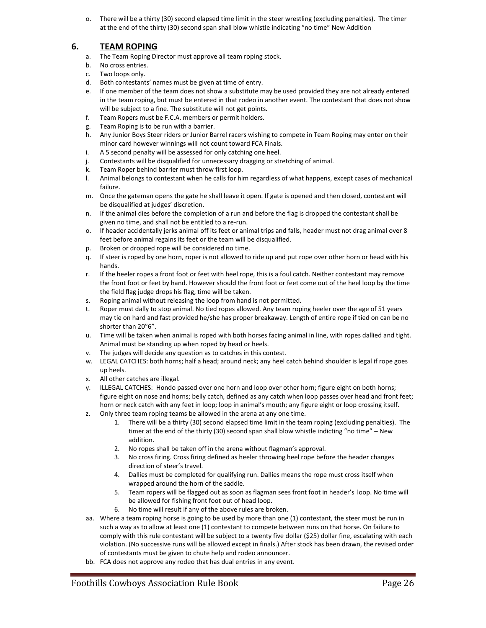o. There will be a thirty (30) second elapsed time limit in the steer wrestling (excluding penalties). The timer at the end of the thirty (30) second span shall blow whistle indicating "no time" New Addition

## **6. TEAM ROPING**

- a. The Team Roping Director must approve all team roping stock.
- b. No cross entries.
- c. Two loops only.
- d. Both contestants' names must be given at time of entry.
- e. If one member of the team does not show a substitute may be used provided they are not already entered in the team roping, but must be entered in that rodeo in another event. The contestant that does not show will be subject to a fine. The substitute will not get points**.**
- f. Team Ropers must be F.C.A. members or permit holders.
- g. Team Roping is to be run with a barrier.
- h. Any Junior Boys Steer riders or Junior Barrel racers wishing to compete in Team Roping may enter on their minor card however winnings will not count toward FCA Finals.
- i. A 5 second penalty will be assessed for only catching one heel.
- j. Contestants will be disqualified for unnecessary dragging or stretching of animal.
- k. Team Roper behind barrier must throw first loop.
- l. Animal belongs to contestant when he calls for him regardless of what happens, except cases of mechanical failure.
- m. Once the gateman opens the gate he shall leave it open. If gate is opened and then closed, contestant will be disqualified at judges' discretion.
- n. If the animal dies before the completion of a run and before the flag is dropped the contestant shall be given no time, and shall not be entitled to a re-run.
- o. If header accidentally jerks animal off its feet or animal trips and falls, header must not drag animal over 8 feet before animal regains its feet or the team will be disqualified.
- p. Broken or dropped rope will be considered no time.
- q. If steer is roped by one horn, roper is not allowed to ride up and put rope over other horn or head with his hands.
- r. If the heeler ropes a front foot or feet with heel rope, this is a foul catch. Neither contestant may remove the front foot or feet by hand. However should the front foot or feet come out of the heel loop by the time the field flag judge drops his flag, time will be taken.
- s. Roping animal without releasing the loop from hand is not permitted.
- t. Roper must dally to stop animal. No tied ropes allowed. Any team roping heeler over the age of 51 years may tie on hard and fast provided he/she has proper breakaway. Length of entire rope if tied on can be no shorter than 20"6".
- u. Time will be taken when animal is roped with both horses facing animal in line, with ropes dallied and tight. Animal must be standing up when roped by head or heels.
- v. The judges will decide any question as to catches in this contest.
- w. LEGAL CATCHES: both horns; half a head; around neck; any heel catch behind shoulder is legal if rope goes up heels.
- x. All other catches are illegal.
- y. ILLEGAL CATCHES: Hondo passed over one horn and loop over other horn; figure eight on both horns; figure eight on nose and horns; belly catch, defined as any catch when loop passes over head and front feet; horn or neck catch with any feet in loop; loop in animal's mouth; any figure eight or loop crossing itself.
- z. Only three team roping teams be allowed in the arena at any one time.
	- 1. There will be a thirty (30) second elapsed time limit in the team roping (excluding penalties). The timer at the end of the thirty (30) second span shall blow whistle indicting "no time" - New addition.
	- 2. No ropes shall be taken off in the arena without flagman's approval.
	- 3. No cross firing. Cross firing defined as heeler throwing heel rope before the header changes direction of steer's travel.
	- 4. Dallies must be completed for qualifying run. Dallies means the rope must cross itself when wrapped around the horn of the saddle.
	- 5. Team ropers will be flagged out as soon as flagman sees front foot in header's loop. No time will be allowed for fishing front foot out of head loop.
	- 6. No time will result if any of the above rules are broken.
- aa. Where a team roping horse is going to be used by more than one (1) contestant, the steer must be run in such a way as to allow at least one (1) contestant to compete between runs on that horse. On failure to comply with this rule contestant will be subject to a twenty five dollar (\$25) dollar fine, escalating with each violation. (No successive runs will be allowed except in finals.) After stock has been drawn, the revised order of contestants must be given to chute help and rodeo announcer.
- bb. FCA does not approve any rodeo that has dual entries in any event.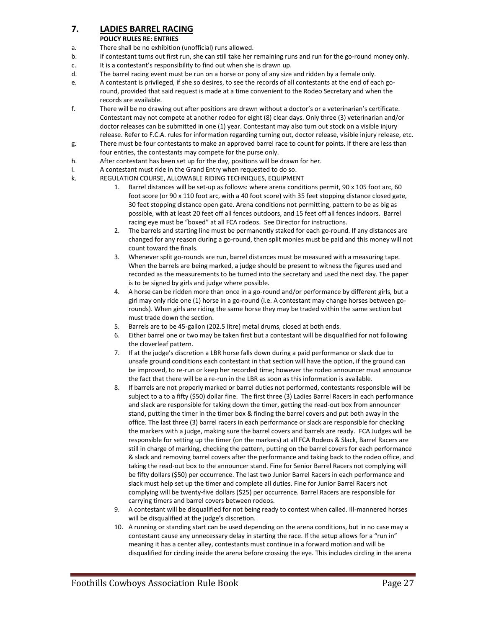### **7. LADIES BARREL RACING**

#### **POLICY RULES RE: ENTRIES**

- a. There shall be no exhibition (unofficial) runs allowed.
- b. If contestant turns out first run, she can still take her remaining runs and run for the go-round money only.
- c. It is a contestant's responsibility to find out when she is drawn up.
- d. The barrel racing event must be run on a horse or pony of any size and ridden by a female only.
- e. A contestant is privileged, if she so desires, to see the records of all contestants at the end of each goround, provided that said request is made at a time convenient to the Rodeo Secretary and when the records are available.
- f. There will be no drawing out after positions are drawn without a doctor's or a veterinarian's certificate. Contestant may not compete at another rodeo for eight (8) clear days. Only three (3) veterinarian and/or doctor releases can be submitted in one (1) year. Contestant may also turn out stock on a visible injury release. Refer to F.C.A. rules for information regarding turning out, doctor release, visible injury release, etc.
- g. There must be four contestants to make an approved barrel race to count for points. If there are less than four entries, the contestants may compete for the purse only.
- h. After contestant has been set up for the day, positions will be drawn for her.
- i. A contestant must ride in the Grand Entry when requested to do so.
- k. REGULATION COURSE, ALLOWABLE RIDING TECHNIQUES, EQUIPMENT
	- 1. Barrel distances will be set-up as follows: where arena conditions permit, 90 x 105 foot arc, 60 foot score (or 90 x 110 foot arc, with a 40 foot score) with 35 feet stopping distance closed gate, 30 feet stopping distance open gate. Arena conditions not permitting, pattern to be as big as possible, with at least 20 feet off all fences outdoors, and 15 feet off all fences indoors. Barrel racing eye must be "boxed" at all FCA rodeos. See Director for instructions.
	- 2. The barrels and starting line must be permanently staked for each go-round. If any distances are changed for any reason during a go-round, then split monies must be paid and this money will not count toward the finals.
	- 3. Whenever split go-rounds are run, barrel distances must be measured with a measuring tape. When the barrels are being marked, a judge should be present to witness the figures used and recorded as the measurements to be turned into the secretary and used the next day. The paper is to be signed by girls and judge where possible.
	- 4. A horse can be ridden more than once in a go-round and/or performance by different girls, but a girl may only ride one (1) horse in a go-round (i.e. A contestant may change horses between gorounds). When girls are riding the same horse they may be traded within the same section but must trade down the section.
	- 5. Barrels are to be 45-gallon (202.5 litre) metal drums, closed at both ends.
	- 6. Either barrel one or two may be taken first but a contestant will be disqualified for not following the cloverleaf pattern.
	- 7. If at the judge's discretion a LBR horse falls down during a paid performance or slack due to unsafe ground conditions each contestant in that section will have the option, if the ground can be improved, to re-run or keep her recorded time; however the rodeo announcer must announce the fact that there will be a re-run in the LBR as soon as this information is available.
	- 8. If barrels are not properly marked or barrel duties not performed, contestants responsible will be subject to a to a fifty (\$50) dollar fine. The first three (3) Ladies Barrel Racers in each performance and slack are responsible for taking down the timer, getting the read-out box from announcer stand, putting the timer in the timer box & finding the barrel covers and put both away in the office. The last three (3) barrel racers in each performance or slack are responsible for checking the markers with a judge, making sure the barrel covers and barrels are ready. FCA Judges will be responsible for setting up the timer (on the markers) at all FCA Rodeos & Slack, Barrel Racers are still in charge of marking, checking the pattern, putting on the barrel covers for each performance & slack and removing barrel covers after the performance and taking back to the rodeo office, and taking the read-out box to the announcer stand. Fine for Senior Barrel Racers not complying will be fifty dollars (\$50) per occurrence. The last two Junior Barrel Racers in each performance and slack must help set up the timer and complete all duties. Fine for Junior Barrel Racers not complying will be twenty-five dollars (\$25) per occurrence. Barrel Racers are responsible for carrying timers and barrel covers between rodeos.
	- 9. A contestant will be disqualified for not being ready to contest when called. Ill-mannered horses will be disqualified at the judge's discretion.
	- 10. A running or standing start can be used depending on the arena conditions, but in no case may a contestant cause any unnecessary delay in starting the race. If the setup allows for a "run in" meaning it has a center alley, contestants must continue in a forward motion and will be disqualified for circling inside the arena before crossing the eye. This includes circling in the arena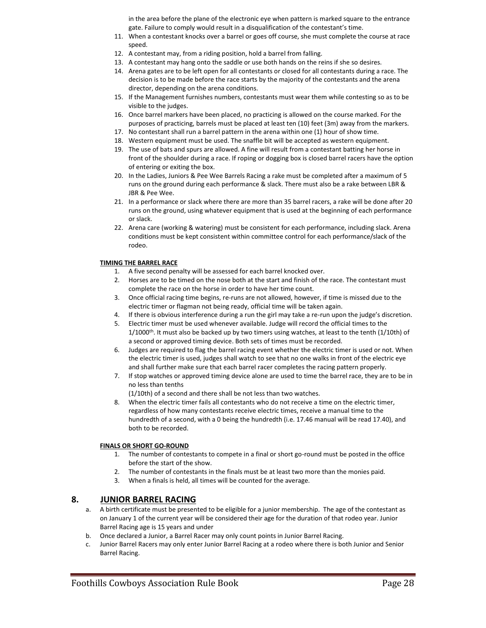in the area before the plane of the electronic eye when pattern is marked square to the entrance gate. Failure to comply would result in a disqualification of the contestant's time.

- 11. When a contestant knocks over a barrel or goes off course, she must complete the course at race speed.
- 12. A contestant may, from a riding position, hold a barrel from falling.
- 13. A contestant may hang onto the saddle or use both hands on the reins if she so desires.
- 14. Arena gates are to be left open for all contestants or closed for all contestants during a race. The decision is to be made before the race starts by the majority of the contestants and the arena director, depending on the arena conditions.
- 15. If the Management furnishes numbers, contestants must wear them while contesting so as to be visible to the judges.
- 16. Once barrel markers have been placed, no practicing is allowed on the course marked. For the purposes of practicing, barrels must be placed at least ten (10) feet (3m) away from the markers.
- 17. No contestant shall run a barrel pattern in the arena within one (1) hour of show time.
- 18. Western equipment must be used. The snaffle bit will be accepted as western equipment.
- 19. The use of bats and spurs are allowed. A fine will result from a contestant batting her horse in front of the shoulder during a race. If roping or dogging box is closed barrel racers have the option of entering or exiting the box.
- 20. In the Ladies, Juniors & Pee Wee Barrels Racing a rake must be completed after a maximum of 5 runs on the ground during each performance & slack. There must also be a rake between LBR & JBR & Pee Wee.
- 21. In a performance or slack where there are more than 35 barrel racers, a rake will be done after 20 runs on the ground, using whatever equipment that is used at the beginning of each performance or slack.
- 22. Arena care (working & watering) must be consistent for each performance, including slack. Arena conditions must be kept consistent within committee control for each performance/slack of the rodeo.

#### **TIMING THE BARREL RACE**

- 1. A five second penalty will be assessed for each barrel knocked over.
- 2. Horses are to be timed on the nose both at the start and finish of the race. The contestant must complete the race on the horse in order to have her time count.
- 3. Once official racing time begins, re-runs are not allowed, however, if time is missed due to the electric timer or flagman not being ready, official time will be taken again.
- 4. If there is obvious interference during a run the girl may take a re-run upon the judge's discretion.
- 5. Electric timer must be used whenever available. Judge will record the official times to the 1/1000<sup>th</sup>. It must also be backed up by two timers using watches, at least to the tenth (1/10th) of a second or approved timing device. Both sets of times must be recorded.
- 6. Judges are required to flag the barrel racing event whether the electric timer is used or not. When the electric timer is used, judges shall watch to see that no one walks in front of the electric eye and shall further make sure that each barrel racer completes the racing pattern properly.
- 7. If stop watches or approved timing device alone are used to time the barrel race, they are to be in no less than tenths
	- (1/10th) of a second and there shall be not less than two watches.
- 8. When the electric timer fails all contestants who do not receive a time on the electric timer, regardless of how many contestants receive electric times, receive a manual time to the hundredth of a second, with a 0 being the hundredth (i.e. 17.46 manual will be read 17.40), and both to be recorded.

#### **FINALS OR SHORT GO-ROUND**

- 1. The number of contestants to compete in a final or short go-round must be posted in the office before the start of the show.
- 2. The number of contestants in the finals must be at least two more than the monies paid.
- 3. When a finals is held, all times will be counted for the average.

#### **8. JUNIOR BARREL RACING**

- a. A birth certificate must be presented to be eligible for a junior membership. The age of the contestant as on January 1 of the current year will be considered their age for the duration of that rodeo year. Junior Barrel Racing age is 15 years and under
- b. Once declared a Junior, a Barrel Racer may only count points in Junior Barrel Racing.
- c. Junior Barrel Racers may only enter Junior Barrel Racing at a rodeo where there is both Junior and Senior Barrel Racing.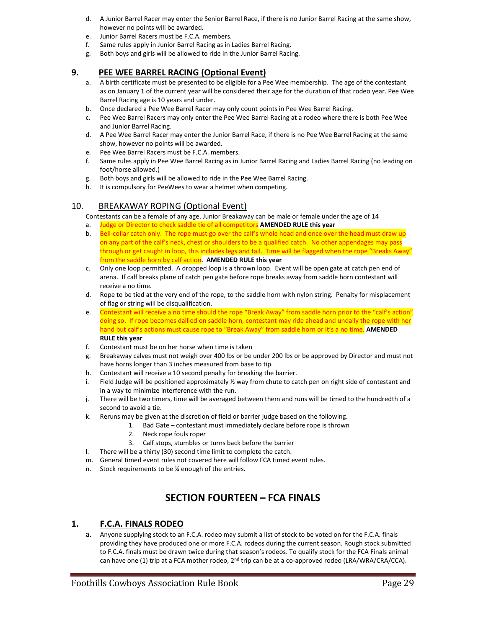- d. A Junior Barrel Racer may enter the Senior Barrel Race, if there is no Junior Barrel Racing at the same show, however no points will be awarded.
- e. Junior Barrel Racers must be F.C.A. members.
- f. Same rules apply in Junior Barrel Racing as in Ladies Barrel Racing.
- g. Both boys and girls will be allowed to ride in the Junior Barrel Racing.

#### **9. PEE WEE BARREL RACING (Optional Event)**

- a. A birth certificate must be presented to be eligible for a Pee Wee membership. The age of the contestant as on January 1 of the current year will be considered their age for the duration of that rodeo year. Pee Wee Barrel Racing age is 10 years and under.
- b. Once declared a Pee Wee Barrel Racer may only count points in Pee Wee Barrel Racing.
- c. Pee Wee Barrel Racers may only enter the Pee Wee Barrel Racing at a rodeo where there is both Pee Wee and Junior Barrel Racing.
- d. A Pee Wee Barrel Racer may enter the Junior Barrel Race, if there is no Pee Wee Barrel Racing at the same show, however no points will be awarded.
- e. Pee Wee Barrel Racers must be F.C.A. members.
- f. Same rules apply in Pee Wee Barrel Racing as in Junior Barrel Racing and Ladies Barrel Racing (no leading on foot/horse allowed.)
- g. Both boys and girls will be allowed to ride in the Pee Wee Barrel Racing.
- h. It is compulsory for PeeWees to wear a helmet when competing.

### 10. BREAKAWAY ROPING (Optional Event)

Contestants can be a female of any age. Junior Breakaway can be male or female under the age of 14

- a. Judge or Director to check saddle tie of all competitors **AMENDED RULE this year**
- b. Bell-collar catch only. The rope must go over the calf's whole head and once over the head must draw up on any part of the calf's neck, chest or shoulders to be a qualified catch. No other appendages may pass through or get caught in loop, this includes legs and tail. Time will be flagged when the rope "Breaks Away" from the saddle horn by calf action. **AMENDED RULE this year**
- c. Only one loop permitted. A dropped loop is a thrown loop. Event will be open gate at catch pen end of arena. If calf breaks plane of catch pen gate before rope breaks away from saddle horn contestant will receive a no time.
- d. Rope to be tied at the very end of the rope, to the saddle horn with nylon string. Penalty for misplacement of flag or string will be disqualification.
- e. Contestant will receive a no time should the rope "Break Away" from saddle horn prior to the "calf's action" doing so. If rope becomes dallied on saddle horn, contestant may ride ahead and undally the rope with her hand but calf's actions must cause rope to "Break Away" from saddle horn or it's a no time. **AMENDED RULE this year**
- f. Contestant must be on her horse when time is taken
- g. Breakaway calves must not weigh over 400 lbs or be under 200 lbs or be approved by Director and must not have horns longer than 3 inches measured from base to tip.
- h. Contestant will receive a 10 second penalty for breaking the barrier.
- i. Field Judge will be positioned approximately ½ way from chute to catch pen on right side of contestant and in a way to minimize interference with the run.
- j. There will be two timers, time will be averaged between them and runs will be timed to the hundredth of a second to avoid a tie.
- k. Reruns may be given at the discretion of field or barrier judge based on the following.
	- 1. Bad Gate contestant must immediately declare before rope is thrown
	- 2. Neck rope fouls roper
	- 3. Calf stops, stumbles or turns back before the barrier
- l. There will be a thirty (30) second time limit to complete the catch.
- m. General timed event rules not covered here will follow FCA timed event rules.
- n. Stock requirements to be ¼ enough of the entries.

# **SECTION FOURTEEN – FCA FINALS**

#### **1. F.C.A. FINALS RODEO**

a. Anyone supplying stock to an F.C.A. rodeo may submit a list of stock to be voted on for the F.C.A. finals providing they have produced one or more F.C.A. rodeos during the current season. Rough stock submitted to F.C.A. finals must be drawn twice during that season's rodeos. To qualify stock for the FCA Finals animal can have one (1) trip at a FCA mother rodeo,  $2^{nd}$  trip can be at a co-approved rodeo (LRA/WRA/CRA/CCA).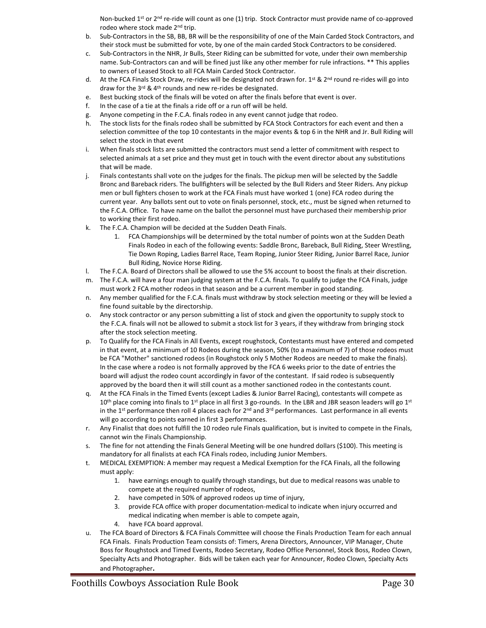Non-bucked  $1^{st}$  or  $2^{nd}$  re-ride will count as one (1) trip. Stock Contractor must provide name of co-approved rodeo where stock made 2<sup>nd</sup> trip.

- b. Sub-Contractors in the SB, BB, BR will be the responsibility of one of the Main Carded Stock Contractors, and their stock must be submitted for vote, by one of the main carded Stock Contractors to be considered.
- c. Sub-Contractors in the NHR, Jr Bulls, Steer Riding can be submitted for vote, under their own membership name. Sub-Contractors can and will be fined just like any other member for rule infractions. \*\* This applies to owners of Leased Stock to all FCA Main Carded Stock Contractor.
- d. At the FCA Finals Stock Draw, re-rides will be designated not drawn for. 1<sup>st</sup> & 2<sup>nd</sup> round re-rides will go into draw for the 3rd & 4th rounds and new re-rides be designated.
- e. Best bucking stock of the finals will be voted on after the finals before that event is over.
- f. In the case of a tie at the finals a ride off or a run off will be held.
- g. Anyone competing in the F.C.A. finals rodeo in any event cannot judge that rodeo.
- h. The stock lists for the finals rodeo shall be submitted by FCA Stock Contractors for each event and then a selection committee of the top 10 contestants in the major events & top 6 in the NHR and Jr. Bull Riding will select the stock in that event
- i. When finals stock lists are submitted the contractors must send a letter of commitment with respect to selected animals at a set price and they must get in touch with the event director about any substitutions that will be made.
- j. Finals contestants shall vote on the judges for the finals. The pickup men will be selected by the Saddle Bronc and Bareback riders. The bullfighters will be selected by the Bull Riders and Steer Riders. Any pickup men or bull fighters chosen to work at the FCA Finals must have worked 1 (one) FCA rodeo during the current year. Any ballots sent out to vote on finals personnel, stock, etc., must be signed when returned to the F.C.A. Office. To have name on the ballot the personnel must have purchased their membership prior to working their first rodeo.
- k. The F.C.A. Champion will be decided at the Sudden Death Finals.
	- 1. FCA Championships will be determined by the total number of points won at the Sudden Death Finals Rodeo in each of the following events: Saddle Bronc, Bareback, Bull Riding, Steer Wrestling, Tie Down Roping, Ladies Barrel Race, Team Roping, Junior Steer Riding, Junior Barrel Race, Junior Bull Riding, Novice Horse Riding.
- l. The F.C.A. Board of Directors shall be allowed to use the 5% account to boost the finals at their discretion.
- m. The F.C.A. will have a four man judging system at the F.C.A. finals. To qualify to judge the FCA Finals, judge must work 2 FCA mother rodeos in that season and be a current member in good standing.
- n. Any member qualified for the F.C.A. finals must withdraw by stock selection meeting or they will be levied a fine found suitable by the directorship.
- o. Any stock contractor or any person submitting a list of stock and given the opportunity to supply stock to the F.C.A. finals will not be allowed to submit a stock list for 3 years, if they withdraw from bringing stock after the stock selection meeting.
- p. To Qualify for the FCA Finals in All Events, except roughstock, Contestants must have entered and competed in that event, at a minimum of 10 Rodeos during the season, 50% (to a maximum of 7) of those rodeos must be FCA "Mother" sanctioned rodeos (in Roughstock only 5 Mother Rodeos are needed to make the finals). In the case where a rodeo is not formally approved by the FCA 6 weeks prior to the date of entries the board will adjust the rodeo count accordingly in favor of the contestant. If said rodeo is subsequently approved by the board then it will still count as a mother sanctioned rodeo in the contestants count.
- q. At the FCA Finals in the Timed Events (except Ladies & Junior Barrel Racing), contestants will compete as 10<sup>th</sup> place coming into finals to 1<sup>st</sup> place in all first 3 go-rounds. In the LBR and JBR season leaders will go 1<sup>st</sup> in the 1<sup>st</sup> performance then roll 4 places each for  $2^{nd}$  and  $3^{rd}$  performances. Last performance in all events will go according to points earned in first 3 performances.
- r. Any Finalist that does not fulfill the 10 rodeo rule Finals qualification, but is invited to compete in the Finals, cannot win the Finals Championship.
- s. The fine for not attending the Finals General Meeting will be one hundred dollars (\$100). This meeting is mandatory for all finalists at each FCA Finals rodeo, including Junior Members.
- t. MEDICAL EXEMPTION: A member may request a Medical Exemption for the FCA Finals, all the following must apply:
	- 1. have earnings enough to qualify through standings, but due to medical reasons was unable to compete at the required number of rodeos,
	- 2. have competed in 50% of approved rodeos up time of injury,
	- 3. provide FCA office with proper documentation-medical to indicate when injury occurred and medical indicating when member is able to compete again,
	- 4. have FCA board approval.
- u. The FCA Board of Directors & FCA Finals Committee will choose the Finals Production Team for each annual FCA Finals. Finals Production Team consists of: Timers, Arena Directors, Announcer, VIP Manager, Chute Boss for Roughstock and Timed Events, Rodeo Secretary, Rodeo Office Personnel, Stock Boss, Rodeo Clown, Specialty Acts and Photographer. Bids will be taken each year for Announcer, Rodeo Clown, Specialty Acts and Photographer**.**